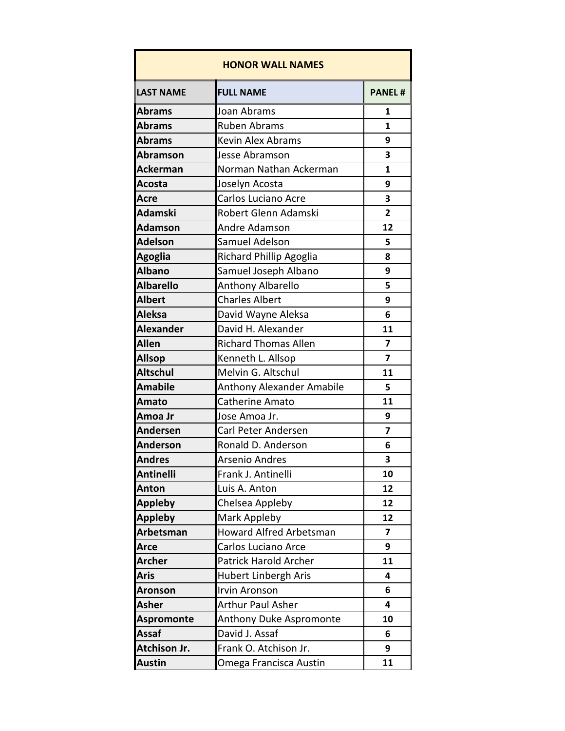| <b>HONOR WALL NAMES</b> |                                  |                |
|-------------------------|----------------------------------|----------------|
| <b>LAST NAME</b>        | <b>FULL NAME</b>                 | <b>PANEL#</b>  |
| <b>Abrams</b>           | Joan Abrams                      | 1              |
| <b>Abrams</b>           | <b>Ruben Abrams</b>              | $\mathbf{1}$   |
| <b>Abrams</b>           | <b>Kevin Alex Abrams</b>         | 9              |
| <b>Abramson</b>         | Jesse Abramson                   | 3              |
| <b>Ackerman</b>         | Norman Nathan Ackerman           | $\mathbf{1}$   |
| <b>Acosta</b>           | Joselyn Acosta                   | 9              |
| <b>Acre</b>             | Carlos Luciano Acre              | 3              |
| <b>Adamski</b>          | Robert Glenn Adamski             | $\overline{2}$ |
| <b>Adamson</b>          | Andre Adamson                    | 12             |
| <b>Adelson</b>          | Samuel Adelson                   | 5              |
| <b>Agoglia</b>          | Richard Phillip Agoglia          | 8              |
| <b>Albano</b>           | Samuel Joseph Albano             | 9              |
| <b>Albarello</b>        | Anthony Albarello                | 5              |
| <b>Albert</b>           | <b>Charles Albert</b>            | 9              |
| <b>Aleksa</b>           | David Wayne Aleksa               | 6              |
| <b>Alexander</b>        | David H. Alexander               | 11             |
| <b>Allen</b>            | <b>Richard Thomas Allen</b>      | 7              |
| <b>Allsop</b>           | Kenneth L. Allsop                | 7              |
| <b>Altschul</b>         | Melvin G. Altschul               | 11             |
| <b>Amabile</b>          | <b>Anthony Alexander Amabile</b> | 5              |
| Amato                   | <b>Catherine Amato</b>           | 11             |
| Amoa Jr                 | Jose Amoa Jr.                    | 9              |
| <b>Andersen</b>         | Carl Peter Andersen              | 7              |
| <b>Anderson</b>         | Ronald D. Anderson               | 6              |
| <b>Andres</b>           | <b>Arsenio Andres</b>            | 3              |
| <b>Antinelli</b>        | Frank J. Antinelli               | 10             |
| <b>Anton</b>            | Luis A. Anton                    | 12             |
| <b>Appleby</b>          | Chelsea Appleby                  | 12             |
| <b>Appleby</b>          | Mark Appleby                     | 12             |
| Arbetsman               | <b>Howard Alfred Arbetsman</b>   | 7              |
| <b>Arce</b>             | Carlos Luciano Arce              | 9              |
| <b>Archer</b>           | Patrick Harold Archer            | 11             |
| <b>Aris</b>             | Hubert Linbergh Aris             | 4              |
| <b>Aronson</b>          | <b>Irvin Aronson</b>             | 6              |
| <b>Asher</b>            | <b>Arthur Paul Asher</b>         | 4              |
| <b>Aspromonte</b>       | Anthony Duke Aspromonte          | 10             |
| <b>Assaf</b>            | David J. Assaf                   | 6              |
| <b>Atchison Jr.</b>     | Frank O. Atchison Jr.            | 9              |
| <b>Austin</b>           | Omega Francisca Austin           | 11             |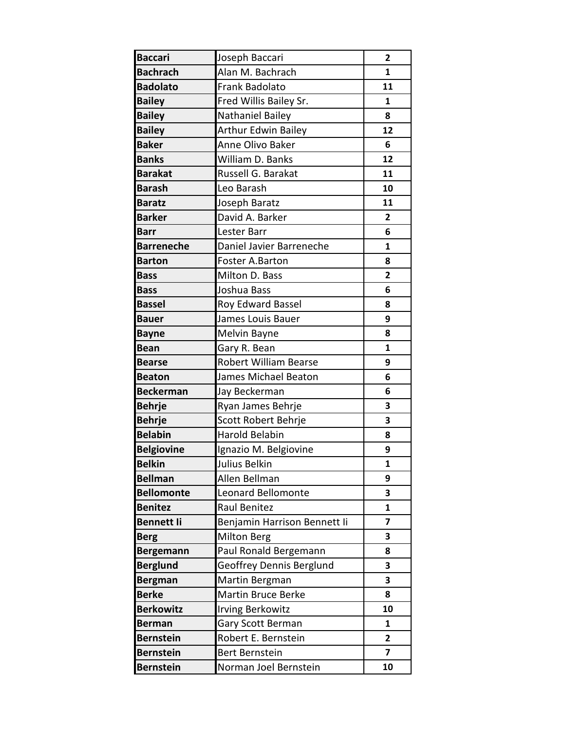| <b>Baccari</b>    | Joseph Baccari               | $\overline{2}$ |
|-------------------|------------------------------|----------------|
| <b>Bachrach</b>   | Alan M. Bachrach             | 1              |
| <b>Badolato</b>   | Frank Badolato               | 11             |
| <b>Bailey</b>     | Fred Willis Bailey Sr.       | $\mathbf{1}$   |
| <b>Bailey</b>     | Nathaniel Bailey             | 8              |
| <b>Bailey</b>     | <b>Arthur Edwin Bailey</b>   | 12             |
| <b>Baker</b>      | Anne Olivo Baker             | 6              |
| <b>Banks</b>      | William D. Banks             | 12             |
| <b>Barakat</b>    | Russell G. Barakat           | 11             |
| <b>Barash</b>     | Leo Barash                   | 10             |
| <b>Baratz</b>     | Joseph Baratz                | 11             |
| <b>Barker</b>     | David A. Barker              | 2              |
| <b>Barr</b>       | Lester Barr                  | 6              |
| <b>Barreneche</b> | Daniel Javier Barreneche     | $\mathbf{1}$   |
| <b>Barton</b>     | Foster A.Barton              | 8              |
| <b>Bass</b>       | Milton D. Bass               | $\overline{2}$ |
| <b>Bass</b>       | Joshua Bass                  | 6              |
| <b>Bassel</b>     | <b>Roy Edward Bassel</b>     | 8              |
| <b>Bauer</b>      | James Louis Bauer            | 9              |
| <b>Bayne</b>      | Melvin Bayne                 | 8              |
| <b>Bean</b>       | Gary R. Bean                 | $\mathbf{1}$   |
| <b>Bearse</b>     | <b>Robert William Bearse</b> | 9              |
| <b>Beaton</b>     | James Michael Beaton         | 6              |
| <b>Beckerman</b>  | Jay Beckerman                | 6              |
| <b>Behrje</b>     | Ryan James Behrje            | 3              |
| <b>Behrje</b>     | Scott Robert Behrje          | 3              |
| <b>Belabin</b>    | <b>Harold Belabin</b>        | 8              |
| <b>Belgiovine</b> | Ignazio M. Belgiovine        | 9              |
| <b>Belkin</b>     | Julius Belkin                | 1              |
| <b>Bellman</b>    | Allen Bellman                | 9              |
| <b>Bellomonte</b> | <b>Leonard Bellomonte</b>    | 3              |
| <b>Benitez</b>    | <b>Raul Benitez</b>          | $\mathbf{1}$   |
| <b>Bennett li</b> | Benjamin Harrison Bennett li | 7              |
| <b>Berg</b>       | <b>Milton Berg</b>           | 3              |
| <b>Bergemann</b>  | Paul Ronald Bergemann        | 8              |
| <b>Berglund</b>   | Geoffrey Dennis Berglund     | 3              |
| <b>Bergman</b>    | Martin Bergman               | 3              |
| <b>Berke</b>      | <b>Martin Bruce Berke</b>    | 8              |
| <b>Berkowitz</b>  | <b>Irving Berkowitz</b>      | 10             |
| <b>Berman</b>     | Gary Scott Berman            | $\mathbf{1}$   |
| <b>Bernstein</b>  | Robert E. Bernstein          | 2              |
| <b>Bernstein</b>  | Bert Bernstein               | $\overline{7}$ |
| <b>Bernstein</b>  | Norman Joel Bernstein        | 10             |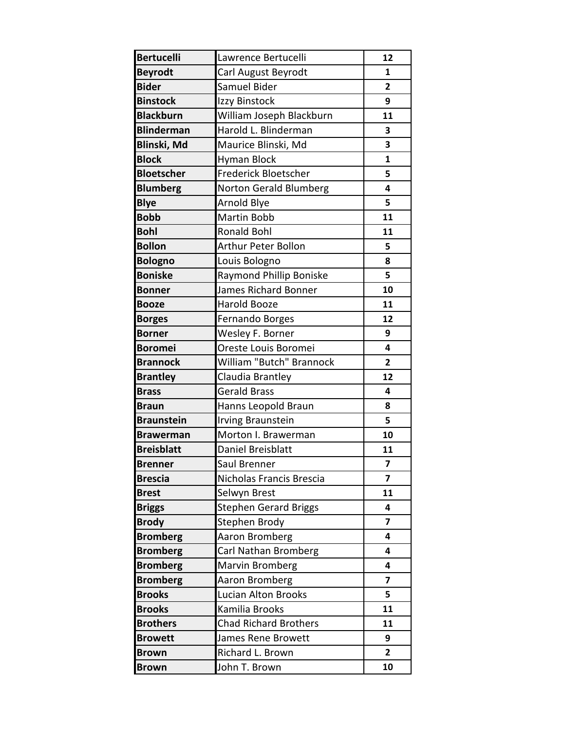| <b>Bertucelli</b> | Lawrence Bertucelli           | 12                      |
|-------------------|-------------------------------|-------------------------|
| <b>Beyrodt</b>    | Carl August Beyrodt           | 1                       |
| <b>Bider</b>      | Samuel Bider                  | $\overline{2}$          |
| <b>Binstock</b>   | Izzy Binstock                 | 9                       |
| <b>Blackburn</b>  | William Joseph Blackburn      | 11                      |
| <b>Blinderman</b> | Harold L. Blinderman          | 3                       |
| Blinski, Md       | Maurice Blinski, Md           | 3                       |
| <b>Block</b>      | <b>Hyman Block</b>            | 1                       |
| <b>Bloetscher</b> | Frederick Bloetscher          | 5                       |
| <b>Blumberg</b>   | <b>Norton Gerald Blumberg</b> | 4                       |
| <b>Blye</b>       | <b>Arnold Blye</b>            | 5                       |
| <b>Bobb</b>       | <b>Martin Bobb</b>            | 11                      |
| <b>Bohl</b>       | <b>Ronald Bohl</b>            | 11                      |
| <b>Bollon</b>     | <b>Arthur Peter Bollon</b>    | 5                       |
| <b>Bologno</b>    | Louis Bologno                 | 8                       |
| <b>Boniske</b>    | Raymond Phillip Boniske       | 5                       |
| <b>Bonner</b>     | James Richard Bonner          | 10                      |
| <b>Booze</b>      | Harold Booze                  | 11                      |
| <b>Borges</b>     | Fernando Borges               | 12                      |
| <b>Borner</b>     | Wesley F. Borner              | 9                       |
| <b>Boromei</b>    | Oreste Louis Boromei          | 4                       |
| <b>Brannock</b>   | William "Butch" Brannock      | $\overline{2}$          |
| <b>Brantley</b>   | Claudia Brantley              | 12                      |
| <b>Brass</b>      | <b>Gerald Brass</b>           | 4                       |
| <b>Braun</b>      | Hanns Leopold Braun           | 8                       |
| <b>Braunstein</b> | <b>Irving Braunstein</b>      | 5                       |
| <b>Brawerman</b>  | Morton I. Brawerman           | 10                      |
| <b>Breisblatt</b> | Daniel Breisblatt             | 11                      |
| <b>Brenner</b>    | Saul Brenner                  | $\overline{\mathbf{z}}$ |
| <b>Brescia</b>    | Nicholas Francis Brescia      | $\overline{\mathbf{z}}$ |
| <b>Brest</b>      | Selwyn Brest                  | 11                      |
| <b>Briggs</b>     | <b>Stephen Gerard Briggs</b>  | 4                       |
| <b>Brody</b>      | Stephen Brody                 | $\overline{\mathbf{z}}$ |
| <b>Bromberg</b>   | Aaron Bromberg                | 4                       |
| <b>Bromberg</b>   | Carl Nathan Bromberg          | 4                       |
| <b>Bromberg</b>   | Marvin Bromberg               | 4                       |
| <b>Bromberg</b>   | Aaron Bromberg                | $\overline{\mathbf{z}}$ |
| <b>Brooks</b>     | Lucian Alton Brooks           | 5                       |
| <b>Brooks</b>     | Kamilia Brooks                | 11                      |
| <b>Brothers</b>   | <b>Chad Richard Brothers</b>  | 11                      |
| <b>Browett</b>    | James Rene Browett            | 9                       |
| <b>Brown</b>      | Richard L. Brown              | $\overline{2}$          |
| <b>Brown</b>      | John T. Brown                 | 10                      |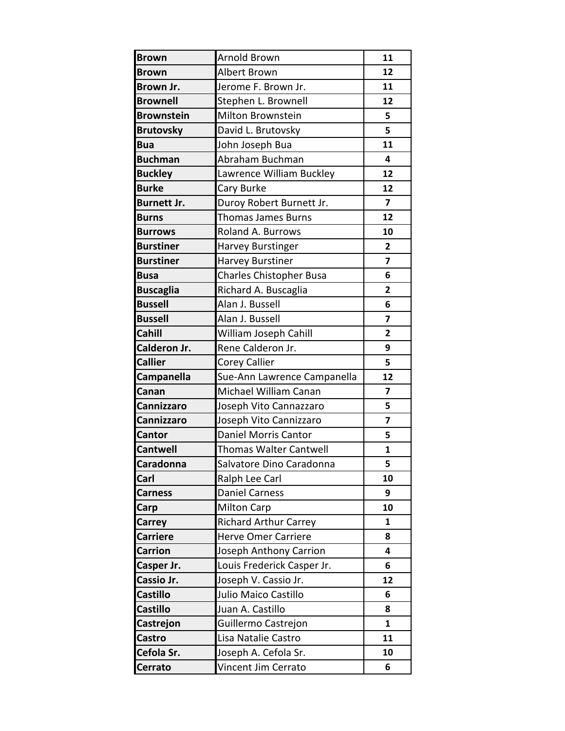| <b>Brown</b>       | <b>Arnold Brown</b>            | 11             |
|--------------------|--------------------------------|----------------|
| <b>Brown</b>       | Albert Brown                   | 12             |
| <b>Brown Jr.</b>   | Jerome F. Brown Jr.            | 11             |
| <b>Brownell</b>    | Stephen L. Brownell            | 12             |
| <b>Brownstein</b>  | Milton Brownstein              | 5              |
| <b>Brutovsky</b>   | David L. Brutovsky             | 5              |
| <b>Bua</b>         | John Joseph Bua                | 11             |
| <b>Buchman</b>     | Abraham Buchman                | 4              |
| <b>Buckley</b>     | Lawrence William Buckley       | 12             |
| <b>Burke</b>       | Cary Burke                     | 12             |
| <b>Burnett Jr.</b> | Duroy Robert Burnett Jr.       | $\overline{ }$ |
| <b>Burns</b>       | <b>Thomas James Burns</b>      | 12             |
| <b>Burrows</b>     | <b>Roland A. Burrows</b>       | 10             |
| <b>Burstiner</b>   | <b>Harvey Burstinger</b>       | 2              |
| <b>Burstiner</b>   | <b>Harvey Burstiner</b>        | $\overline{7}$ |
| <b>Busa</b>        | <b>Charles Chistopher Busa</b> | 6              |
| <b>Buscaglia</b>   | Richard A. Buscaglia           | $\overline{2}$ |
| <b>Bussell</b>     | Alan J. Bussell                | 6              |
| <b>Bussell</b>     | Alan J. Bussell                | $\overline{7}$ |
| Cahill             | William Joseph Cahill          | $\overline{2}$ |
| Calderon Jr.       | Rene Calderon Jr.              | 9              |
| <b>Callier</b>     | Corey Callier                  | 5              |
| Campanella         | Sue-Ann Lawrence Campanella    | 12             |
| Canan              | Michael William Canan          | 7              |
| Cannizzaro         | Joseph Vito Cannazzaro         | 5              |
| Cannizzaro         | Joseph Vito Cannizzaro         | 7              |
| Cantor             | Daniel Morris Cantor           | 5              |
| <b>Cantwell</b>    | Thomas Walter Cantwell         | $\mathbf{1}$   |
| Caradonna          | Salvatore Dino Caradonna       | 5              |
| Carl               | Ralph Lee Carl                 | 10             |
| <b>Carness</b>     | <b>Daniel Carness</b>          | 9              |
| Carp               | <b>Milton Carp</b>             | 10             |
| <b>Carrey</b>      | <b>Richard Arthur Carrey</b>   | 1              |
| <b>Carriere</b>    | <b>Herve Omer Carriere</b>     | 8              |
| <b>Carrion</b>     | Joseph Anthony Carrion         | 4              |
| Casper Jr.         | Louis Frederick Casper Jr.     | 6              |
| Cassio Jr.         | Joseph V. Cassio Jr.           | 12             |
| <b>Castillo</b>    | Julio Maico Castillo           | 6              |
| <b>Castillo</b>    | Juan A. Castillo               | 8              |
| Castrejon          | Guillermo Castrejon            | $\mathbf{1}$   |
| <b>Castro</b>      | Lisa Natalie Castro            | 11             |
| Cefola Sr.         | Joseph A. Cefola Sr.           | 10             |
| <b>Cerrato</b>     | Vincent Jim Cerrato            | 6              |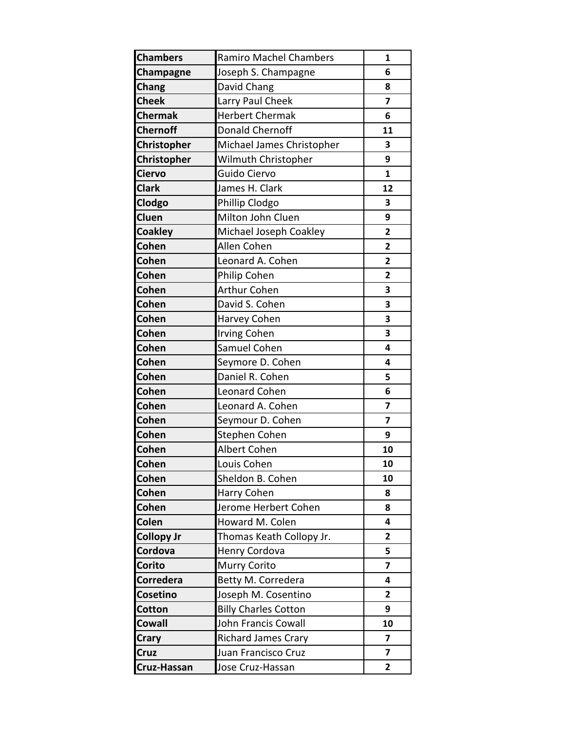| <b>Chambers</b>    | <b>Ramiro Machel Chambers</b> | $\mathbf{1}$            |
|--------------------|-------------------------------|-------------------------|
| Champagne          | Joseph S. Champagne           | 6                       |
| <b>Chang</b>       | David Chang                   | 8                       |
| <b>Cheek</b>       | Larry Paul Cheek              | $\overline{\mathbf{z}}$ |
| <b>Chermak</b>     | <b>Herbert Chermak</b>        | 6                       |
| <b>Chernoff</b>    | <b>Donald Chernoff</b>        | 11                      |
| Christopher        | Michael James Christopher     | 3                       |
| <b>Christopher</b> | Wilmuth Christopher           | 9                       |
| <b>Ciervo</b>      | Guido Ciervo                  | $\mathbf{1}$            |
| <b>Clark</b>       | James H. Clark                | 12                      |
| Clodgo             | Phillip Clodgo                | 3                       |
| Cluen              | Milton John Cluen             | 9                       |
| <b>Coakley</b>     | Michael Joseph Coakley        | $\overline{2}$          |
| <b>Cohen</b>       | Allen Cohen                   | $\overline{2}$          |
| Cohen              | Leonard A. Cohen              | $\overline{2}$          |
| <b>Cohen</b>       | Philip Cohen                  | $\overline{\mathbf{2}}$ |
| <b>Cohen</b>       | <b>Arthur Cohen</b>           | 3                       |
| <b>Cohen</b>       | David S. Cohen                | 3                       |
| <b>Cohen</b>       | Harvey Cohen                  | 3                       |
| <b>Cohen</b>       | <b>Irving Cohen</b>           | 3                       |
| <b>Cohen</b>       | Samuel Cohen                  | 4                       |
| <b>Cohen</b>       | Seymore D. Cohen              | 4                       |
| <b>Cohen</b>       | Daniel R. Cohen               | 5                       |
| <b>Cohen</b>       | Leonard Cohen                 | 6                       |
| <b>Cohen</b>       | Leonard A. Cohen              | $\overline{\mathbf{z}}$ |
| <b>Cohen</b>       | Seymour D. Cohen              | 7                       |
| <b>Cohen</b>       | Stephen Cohen                 | 9                       |
| Cohen              | Albert Cohen                  | 10                      |
| <b>Cohen</b>       | Louis Cohen                   | 10                      |
| <b>Cohen</b>       | Sheldon B. Cohen              | 10                      |
| <b>Cohen</b>       | Harry Cohen                   | 8                       |
| <b>Cohen</b>       | Jerome Herbert Cohen          | 8                       |
| <b>Colen</b>       | Howard M. Colen               | 4                       |
| <b>Collopy Jr</b>  | Thomas Keath Collopy Jr.      | $\overline{2}$          |
| <b>Cordova</b>     | <b>Henry Cordova</b>          | 5                       |
| Corito             | Murry Corito                  | $\overline{\mathbf{z}}$ |
| Corredera          | Betty M. Corredera            | 4                       |
| <b>Cosetino</b>    | Joseph M. Cosentino           | 2                       |
| <b>Cotton</b>      | <b>Billy Charles Cotton</b>   | 9                       |
| <b>Cowall</b>      | John Francis Cowall           | 10                      |
| <b>Crary</b>       | <b>Richard James Crary</b>    | 7                       |
| <b>Cruz</b>        | Juan Francisco Cruz           | $\overline{\mathbf{z}}$ |
| <b>Cruz-Hassan</b> | Jose Cruz-Hassan              | $\mathbf{2}$            |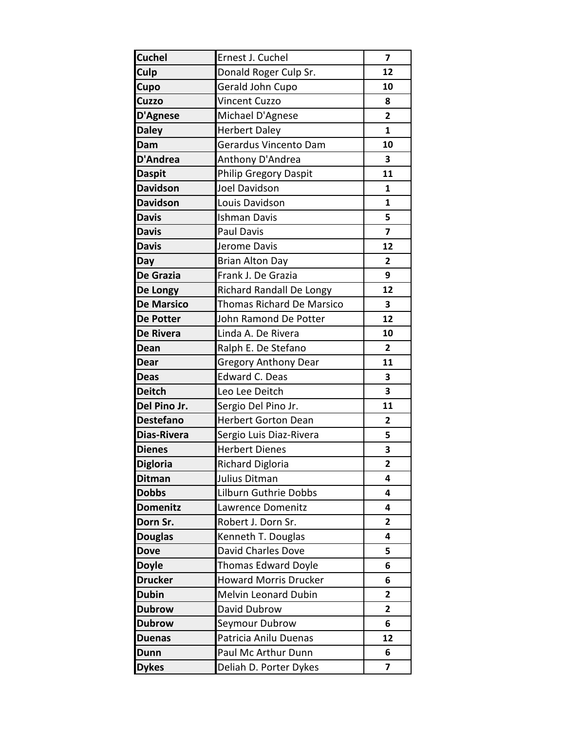| <b>Cuchel</b>     | Ernest J. Cuchel                 | 7                       |
|-------------------|----------------------------------|-------------------------|
| Culp              | Donald Roger Culp Sr.            | 12                      |
| Cupo              | Gerald John Cupo                 | 10                      |
| <b>Cuzzo</b>      | Vincent Cuzzo                    | 8                       |
| D'Agnese          | Michael D'Agnese                 | $\overline{2}$          |
| <b>Daley</b>      | <b>Herbert Daley</b>             | $\mathbf{1}$            |
| Dam               | Gerardus Vincento Dam            | 10                      |
| <b>D'Andrea</b>   | Anthony D'Andrea                 | 3                       |
| <b>Daspit</b>     | <b>Philip Gregory Daspit</b>     | 11                      |
| <b>Davidson</b>   | Joel Davidson                    | 1                       |
| <b>Davidson</b>   | Louis Davidson                   | $\mathbf{1}$            |
| <b>Davis</b>      | <b>Ishman Davis</b>              | 5                       |
| <b>Davis</b>      | <b>Paul Davis</b>                | $\overline{7}$          |
| <b>Davis</b>      | Jerome Davis                     | 12                      |
| Day               | <b>Brian Alton Day</b>           | $\overline{2}$          |
| De Grazia         | Frank J. De Grazia               | 9                       |
| De Longy          | <b>Richard Randall De Longy</b>  | 12                      |
| <b>De Marsico</b> | <b>Thomas Richard De Marsico</b> | 3                       |
| <b>De Potter</b>  | John Ramond De Potter            | 12                      |
| De Rivera         | Linda A. De Rivera               | 10                      |
| Dean              | Ralph E. De Stefano              | $\overline{2}$          |
| <b>Dear</b>       | <b>Gregory Anthony Dear</b>      | 11                      |
| <b>Deas</b>       | <b>Edward C. Deas</b>            | 3                       |
| <b>Deitch</b>     | Leo Lee Deitch                   | 3                       |
| Del Pino Jr.      | Sergio Del Pino Jr.              | 11                      |
| <b>Destefano</b>  | <b>Herbert Gorton Dean</b>       | $\overline{2}$          |
| Dias-Rivera       | Sergio Luis Diaz-Rivera          | 5                       |
| <b>Dienes</b>     | <b>Herbert Dienes</b>            | 3                       |
| <b>Digloria</b>   | Richard Digloria                 | 2                       |
| <b>Ditman</b>     | Julius Ditman                    | 4                       |
| <b>Dobbs</b>      | Lilburn Guthrie Dobbs            | 4                       |
| <b>Domenitz</b>   | Lawrence Domenitz                | 4                       |
| Dorn Sr.          | Robert J. Dorn Sr.               | $\mathbf{2}$            |
| <b>Douglas</b>    | Kenneth T. Douglas               | 4                       |
| <b>Dove</b>       | David Charles Dove               | 5                       |
| <b>Doyle</b>      | <b>Thomas Edward Doyle</b>       | 6                       |
| <b>Drucker</b>    | <b>Howard Morris Drucker</b>     | 6                       |
| <b>Dubin</b>      | Melvin Leonard Dubin             | $\overline{2}$          |
| <b>Dubrow</b>     | David Dubrow                     | 2                       |
| <b>Dubrow</b>     | Seymour Dubrow                   | 6                       |
| <b>Duenas</b>     | Patricia Anilu Duenas            | 12                      |
| <b>Dunn</b>       | Paul Mc Arthur Dunn              | 6                       |
| <b>Dykes</b>      | Deliah D. Porter Dykes           | $\overline{\mathbf{z}}$ |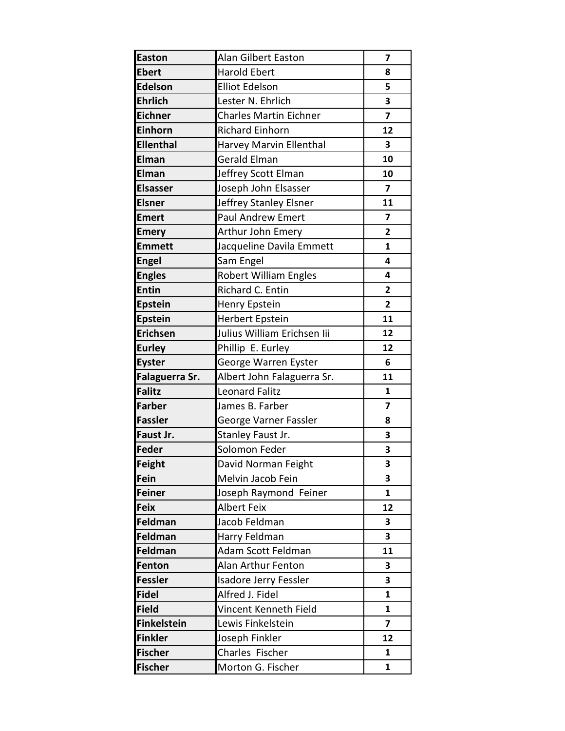| <b>Easton</b>      | <b>Alan Gilbert Easton</b>    | 7                       |
|--------------------|-------------------------------|-------------------------|
| <b>Ebert</b>       | <b>Harold Ebert</b>           | 8                       |
| Edelson            | <b>Elliot Edelson</b>         | 5                       |
| <b>Ehrlich</b>     | Lester N. Ehrlich             | 3                       |
| <b>Eichner</b>     | <b>Charles Martin Eichner</b> | 7                       |
| Einhorn            | <b>Richard Einhorn</b>        | 12                      |
| <b>Ellenthal</b>   | Harvey Marvin Ellenthal       | 3                       |
| Elman              | Gerald Elman                  | 10                      |
| Elman              | Jeffrey Scott Elman           | 10                      |
| <b>Elsasser</b>    | Joseph John Elsasser          | 7                       |
| <b>Elsner</b>      | Jeffrey Stanley Elsner        | 11                      |
| <b>Emert</b>       | <b>Paul Andrew Emert</b>      | 7                       |
| <b>Emery</b>       | Arthur John Emery             | $\overline{2}$          |
| <b>Emmett</b>      | Jacqueline Davila Emmett      | $\mathbf{1}$            |
| <b>Engel</b>       | Sam Engel                     | 4                       |
| <b>Engles</b>      | <b>Robert William Engles</b>  | 4                       |
| <b>Entin</b>       | Richard C. Entin              | $\overline{2}$          |
| <b>Epstein</b>     | Henry Epstein                 | $\overline{2}$          |
| <b>Epstein</b>     | Herbert Epstein               | 11                      |
| <b>Erichsen</b>    | Julius William Erichsen lii   | 12                      |
| <b>Eurley</b>      | Phillip E. Eurley             | 12                      |
| <b>Eyster</b>      | George Warren Eyster          | 6                       |
| Falaguerra Sr.     | Albert John Falaguerra Sr.    | 11                      |
| <b>Falitz</b>      | <b>Leonard Falitz</b>         | 1                       |
| <b>Farber</b>      | James B. Farber               | $\overline{\mathbf{z}}$ |
| <b>Fassler</b>     | George Varner Fassler         | 8                       |
| Faust Jr.          | Stanley Faust Jr.             | 3                       |
| Feder              | Solomon Feder                 | 3                       |
| Feight             | David Norman Feight           | 3                       |
| Fein               | Melvin Jacob Fein             | 3                       |
| <b>Feiner</b>      | Joseph Raymond Feiner         | $\mathbf{1}$            |
| <b>Feix</b>        | <b>Albert Feix</b>            | 12                      |
| Feldman            | Jacob Feldman                 | 3                       |
| Feldman            | Harry Feldman                 | 3                       |
| Feldman            | Adam Scott Feldman            | 11                      |
| Fenton             | Alan Arthur Fenton            | 3                       |
| <b>Fessler</b>     | Isadore Jerry Fessler         | 3                       |
| <b>Fidel</b>       | Alfred J. Fidel               | 1                       |
| <b>Field</b>       | Vincent Kenneth Field         | $\mathbf{1}$            |
| <b>Finkelstein</b> | Lewis Finkelstein             | $\overline{\mathbf{z}}$ |
| <b>Finkler</b>     | Joseph Finkler                | 12                      |
| <b>Fischer</b>     | Charles Fischer               | 1                       |
| <b>Fischer</b>     | Morton G. Fischer             | $\mathbf{1}$            |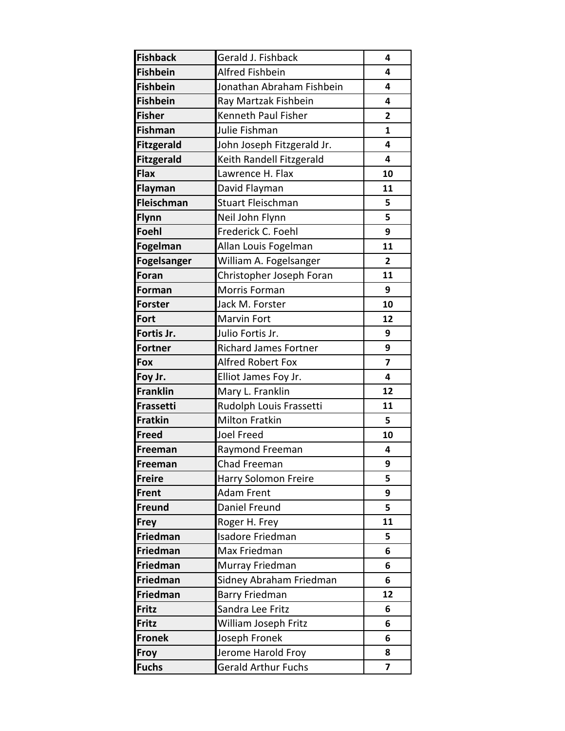| <b>Fishback</b>   | Gerald J. Fishback           | 4                       |
|-------------------|------------------------------|-------------------------|
| <b>Fishbein</b>   | Alfred Fishbein              | 4                       |
| <b>Fishbein</b>   | Jonathan Abraham Fishbein    | 4                       |
| <b>Fishbein</b>   | Ray Martzak Fishbein         | 4                       |
| <b>Fisher</b>     | <b>Kenneth Paul Fisher</b>   | $\overline{2}$          |
| Fishman           | Julie Fishman                | $\mathbf{1}$            |
| <b>Fitzgerald</b> | John Joseph Fitzgerald Jr.   | 4                       |
| <b>Fitzgerald</b> | Keith Randell Fitzgerald     | 4                       |
| <b>Flax</b>       | Lawrence H. Flax             | 10                      |
| <b>Flayman</b>    | David Flayman                | 11                      |
| Fleischman        | <b>Stuart Fleischman</b>     | 5                       |
| Flynn             | Neil John Flynn              | 5                       |
| <b>Foehl</b>      | Frederick C. Foehl           | 9                       |
| Fogelman          | Allan Louis Fogelman         | 11                      |
| Fogelsanger       | William A. Fogelsanger       | 2                       |
| <b>Foran</b>      | Christopher Joseph Foran     | 11                      |
| <b>Forman</b>     | Morris Forman                | 9                       |
| <b>Forster</b>    | Jack M. Forster              | 10                      |
| Fort              | Marvin Fort                  | 12                      |
| Fortis Jr.        | Julio Fortis Jr.             | 9                       |
| <b>Fortner</b>    | <b>Richard James Fortner</b> | 9                       |
| <b>Fox</b>        | Alfred Robert Fox            | $\overline{z}$          |
| Foy Jr.           | Elliot James Foy Jr.         | 4                       |
| <b>Franklin</b>   | Mary L. Franklin             | 12                      |
| Frassetti         | Rudolph Louis Frassetti      | 11                      |
| Fratkin           | <b>Milton Fratkin</b>        | 5                       |
| Freed             | Joel Freed                   | 10                      |
| <b>Freeman</b>    | Raymond Freeman              | 4                       |
| Freeman           | Chad Freeman                 | 9                       |
| <b>Freire</b>     | Harry Solomon Freire         | 5                       |
| Frent             | Adam Frent                   | 9                       |
| Freund            | Daniel Freund                | 5                       |
| <b>Frey</b>       | Roger H. Frey                | 11                      |
| Friedman          | <b>Isadore Friedman</b>      | 5                       |
| Friedman          | Max Friedman                 | 6                       |
| Friedman          | Murray Friedman              | 6                       |
| Friedman          | Sidney Abraham Friedman      | 6                       |
| Friedman          | Barry Friedman               | 12                      |
| Fritz             | Sandra Lee Fritz             | 6                       |
| Fritz             | William Joseph Fritz         | 6                       |
| <b>Fronek</b>     | Joseph Fronek                | 6                       |
| <b>Froy</b>       | Jerome Harold Froy           | 8                       |
| <b>Fuchs</b>      | <b>Gerald Arthur Fuchs</b>   | $\overline{\mathbf{z}}$ |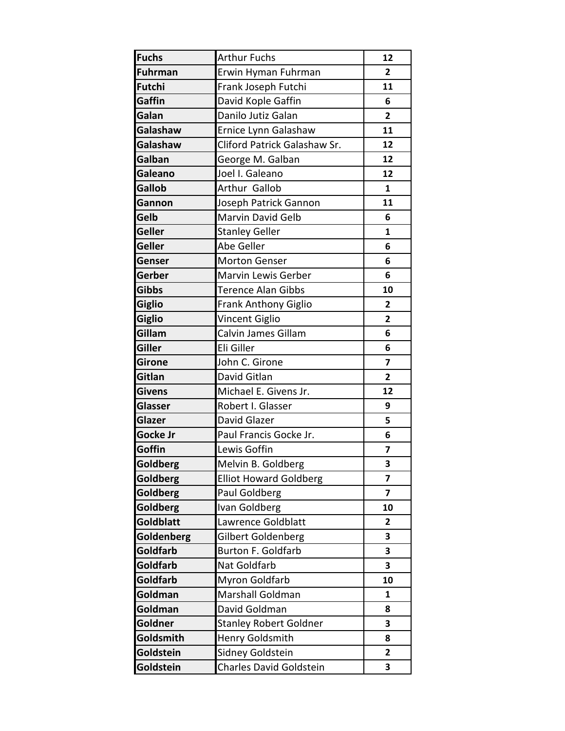| <b>Fuchs</b>    | <b>Arthur Fuchs</b>           | 12                      |
|-----------------|-------------------------------|-------------------------|
| <b>Fuhrman</b>  | Erwin Hyman Fuhrman           | $\overline{2}$          |
| Futchi          | Frank Joseph Futchi           | 11                      |
| Gaffin          | David Kople Gaffin            | 6                       |
| Galan           | Danilo Jutiz Galan            | $\mathbf{2}$            |
| Galashaw        | Ernice Lynn Galashaw          | 11                      |
| Galashaw        | Cliford Patrick Galashaw Sr.  | 12                      |
| Galban          | George M. Galban              | 12                      |
| Galeano         | Joel I. Galeano               | 12                      |
| <b>Gallob</b>   | Arthur Gallob                 | $\mathbf{1}$            |
| Gannon          | Joseph Patrick Gannon         | 11                      |
| Gelb            | Marvin David Gelb             | 6                       |
| <b>Geller</b>   | <b>Stanley Geller</b>         | $\mathbf{1}$            |
| <b>Geller</b>   | Abe Geller                    | 6                       |
| Genser          | <b>Morton Genser</b>          | 6                       |
| Gerber          | Marvin Lewis Gerber           | 6                       |
| <b>Gibbs</b>    | <b>Terence Alan Gibbs</b>     | 10                      |
| Giglio          | <b>Frank Anthony Giglio</b>   | $\mathbf{2}$            |
| Giglio          | Vincent Giglio                | $\overline{2}$          |
| Gillam          | Calvin James Gillam           | 6                       |
| Giller          | Eli Giller                    | 6                       |
| <b>Girone</b>   | John C. Girone                | $\overline{\mathbf{z}}$ |
| Gitlan          | David Gitlan                  | $\overline{2}$          |
| <b>Givens</b>   | Michael E. Givens Jr.         | 12                      |
| Glasser         | Robert I. Glasser             | 9                       |
| Glazer          | David Glazer                  | 5                       |
| <b>Gocke Jr</b> | Paul Francis Gocke Jr.        | 6                       |
| Goffin          | Lewis Goffin                  | 7                       |
| <b>Goldberg</b> | Melvin B. Goldberg            | 3                       |
| Goldberg        | <b>Elliot Howard Goldberg</b> | 7                       |
| Goldberg        | Paul Goldberg                 | 7                       |
| <b>Goldberg</b> | Ivan Goldberg                 | 10                      |
| Goldblatt       | Lawrence Goldblatt            | 2                       |
| Goldenberg      | Gilbert Goldenberg            | 3                       |
| Goldfarb        | Burton F. Goldfarb            | 3                       |
| Goldfarb        | Nat Goldfarb                  | 3                       |
| Goldfarb        | Myron Goldfarb                | 10                      |
| Goldman         | Marshall Goldman              | 1                       |
| Goldman         | David Goldman                 | 8                       |
| Goldner         | <b>Stanley Robert Goldner</b> | 3                       |
| Goldsmith       | Henry Goldsmith               | 8                       |
| Goldstein       | Sidney Goldstein              | 2                       |
| Goldstein       | Charles David Goldstein       | 3                       |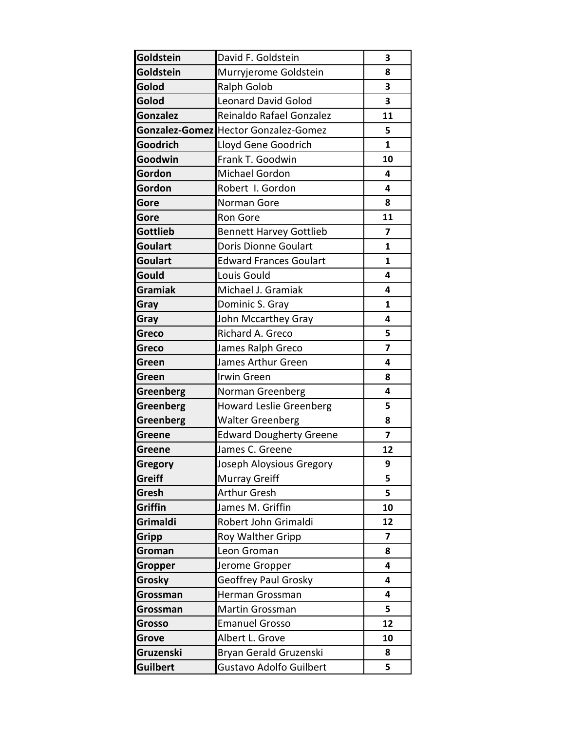| Goldstein       | David F. Goldstein                          | 3                       |
|-----------------|---------------------------------------------|-------------------------|
| Goldstein       | Murryjerome Goldstein                       | 8                       |
| Golod           | <b>Ralph Golob</b>                          | 3                       |
| Golod           | <b>Leonard David Golod</b>                  | 3                       |
| <b>Gonzalez</b> | Reinaldo Rafael Gonzalez                    | 11                      |
|                 | <b>Gonzalez-Gomez</b> Hector Gonzalez-Gomez | 5                       |
| Goodrich        | Lloyd Gene Goodrich                         | $\mathbf{1}$            |
| Goodwin         | Frank T. Goodwin                            | 10                      |
| Gordon          | Michael Gordon                              | 4                       |
| Gordon          | Robert I. Gordon                            | 4                       |
| Gore            | Norman Gore                                 | 8                       |
| Gore            | Ron Gore                                    | 11                      |
| <b>Gottlieb</b> | <b>Bennett Harvey Gottlieb</b>              | 7                       |
| <b>Goulart</b>  | <b>Doris Dionne Goulart</b>                 | $\mathbf{1}$            |
| <b>Goulart</b>  | <b>Edward Frances Goulart</b>               | 1                       |
| Gould           | Louis Gould                                 | 4                       |
| <b>Gramiak</b>  | Michael J. Gramiak                          | 4                       |
| Gray            | Dominic S. Gray                             | $\mathbf{1}$            |
| Gray            | John Mccarthey Gray                         | 4                       |
| Greco           | Richard A. Greco                            | 5                       |
| <b>Greco</b>    | James Ralph Greco                           | 7                       |
| Green           | James Arthur Green                          | 4                       |
| Green           | Irwin Green                                 | 8                       |
| Greenberg       | Norman Greenberg                            | 4                       |
| Greenberg       | <b>Howard Leslie Greenberg</b>              | 5                       |
| Greenberg       | <b>Walter Greenberg</b>                     | 8                       |
| Greene          | <b>Edward Dougherty Greene</b>              | 7                       |
| <b>Greene</b>   | James C. Greene                             | 12                      |
| <b>Gregory</b>  | Joseph Aloysious Gregory                    | 9                       |
| <b>Greiff</b>   | Murray Greiff                               | 5                       |
| Gresh           | <b>Arthur Gresh</b>                         | 5                       |
| Griffin         | James M. Griffin                            | 10                      |
| Grimaldi        | Robert John Grimaldi                        | 12                      |
| <b>Gripp</b>    | Roy Walther Gripp                           | $\overline{7}$          |
| Groman          | Leon Groman                                 | 8                       |
| <b>Gropper</b>  | Jerome Gropper                              | $\overline{\mathbf{4}}$ |
| Grosky          | Geoffrey Paul Grosky                        | $\overline{\mathbf{4}}$ |
| Grossman        | Herman Grossman                             | 4                       |
| Grossman        | Martin Grossman                             | 5                       |
| <b>Grosso</b>   | <b>Emanuel Grosso</b>                       | 12                      |
| Grove           | Albert L. Grove                             | 10                      |
| Gruzenski       | Bryan Gerald Gruzenski                      | 8                       |
| <b>Guilbert</b> | <b>Gustavo Adolfo Guilbert</b>              | 5                       |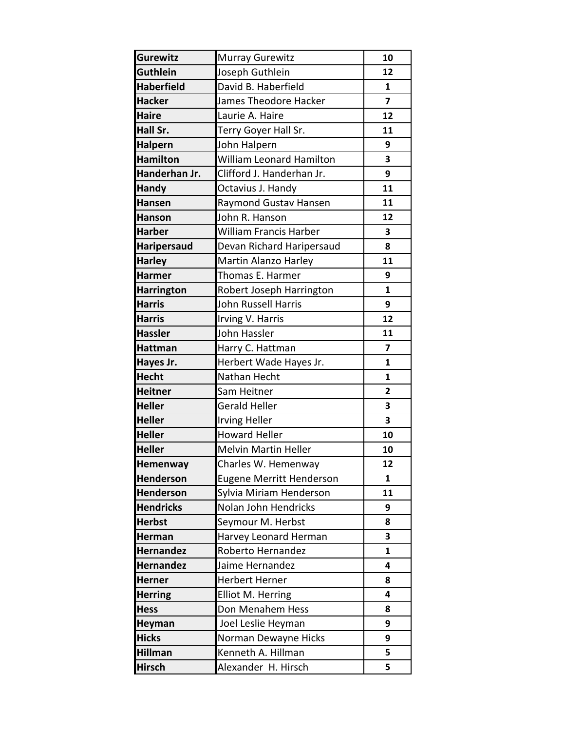| <b>Gurewitz</b>    | <b>Murray Gurewitz</b>    | 10                      |
|--------------------|---------------------------|-------------------------|
| <b>Guthlein</b>    | Joseph Guthlein           | 12                      |
| <b>Haberfield</b>  | David B. Haberfield       | $\mathbf{1}$            |
| <b>Hacker</b>      | James Theodore Hacker     | $\overline{7}$          |
| <b>Haire</b>       | Laurie A. Haire           | 12                      |
| Hall Sr.           | Terry Goyer Hall Sr.      | 11                      |
| <b>Halpern</b>     | John Halpern              | 9                       |
| <b>Hamilton</b>    | William Leonard Hamilton  | 3                       |
| Handerhan Jr.      | Clifford J. Handerhan Jr. | 9                       |
| <b>Handy</b>       | Octavius J. Handy         | 11                      |
| <b>Hansen</b>      | Raymond Gustav Hansen     | 11                      |
| <b>Hanson</b>      | John R. Hanson            | 12                      |
| <b>Harber</b>      | William Francis Harber    | 3                       |
| <b>Haripersaud</b> | Devan Richard Haripersaud | 8                       |
| <b>Harley</b>      | Martin Alanzo Harley      | 11                      |
| <b>Harmer</b>      | Thomas E. Harmer          | 9                       |
| <b>Harrington</b>  | Robert Joseph Harrington  | $\mathbf{1}$            |
| <b>Harris</b>      | John Russell Harris       | 9                       |
| <b>Harris</b>      | Irving V. Harris          | 12                      |
| <b>Hassler</b>     | John Hassler              | 11                      |
| <b>Hattman</b>     | Harry C. Hattman          | $\overline{\mathbf{z}}$ |
| Hayes Jr.          | Herbert Wade Hayes Jr.    | $\mathbf{1}$            |
| <b>Hecht</b>       | Nathan Hecht              | $\mathbf{1}$            |
| <b>Heitner</b>     | Sam Heitner               | $\overline{2}$          |
| <b>Heller</b>      | Gerald Heller             | 3                       |
| <b>Heller</b>      | <b>Irving Heller</b>      | 3                       |
| <b>Heller</b>      | <b>Howard Heller</b>      | 10                      |
| <b>Heller</b>      | Melvin Martin Heller      | 10                      |
| Hemenway           | Charles W. Hemenway       | 12                      |
| <b>Henderson</b>   | Eugene Merritt Henderson  | 1                       |
| Henderson          | Sylvia Miriam Henderson   | 11                      |
| <b>Hendricks</b>   | Nolan John Hendricks      | 9                       |
| <b>Herbst</b>      | Seymour M. Herbst         | 8                       |
| Herman             | Harvey Leonard Herman     | 3                       |
| <b>Hernandez</b>   | Roberto Hernandez         | 1                       |
| <b>Hernandez</b>   | Jaime Hernandez           | 4                       |
| <b>Herner</b>      | <b>Herbert Herner</b>     | 8                       |
| <b>Herring</b>     | Elliot M. Herring         | $\overline{\mathbf{4}}$ |
| <b>Hess</b>        | Don Menahem Hess          | 8                       |
| Heyman             | Joel Leslie Heyman        | 9                       |
| <b>Hicks</b>       | Norman Dewayne Hicks      | 9                       |
| <b>Hillman</b>     | Kenneth A. Hillman        | 5                       |
| <b>Hirsch</b>      | Alexander H. Hirsch       | 5                       |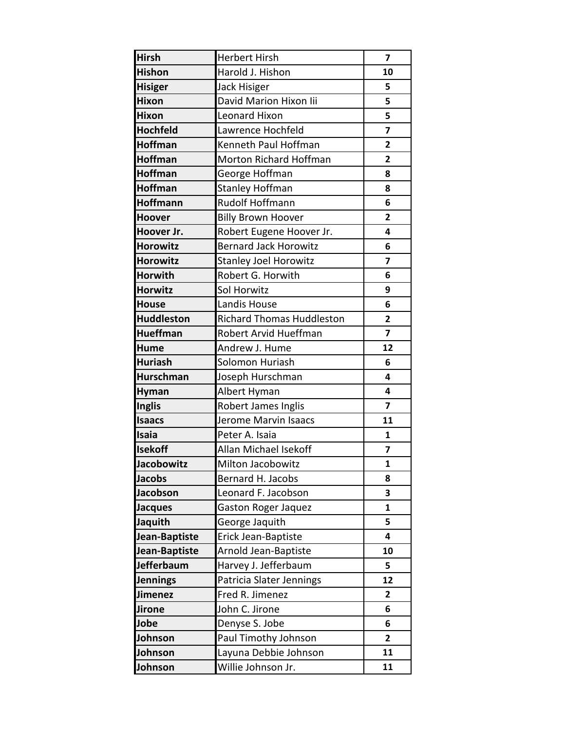| <b>Hirsh</b>    | <b>Herbert Hirsh</b>             | 7                       |
|-----------------|----------------------------------|-------------------------|
| <b>Hishon</b>   | Harold J. Hishon                 | 10                      |
| <b>Hisiger</b>  | Jack Hisiger                     | 5                       |
| Hixon           | David Marion Hixon lii           | 5                       |
| <b>Hixon</b>    | <b>Leonard Hixon</b>             | 5                       |
| <b>Hochfeld</b> | Lawrence Hochfeld                | 7                       |
| <b>Hoffman</b>  | Kenneth Paul Hoffman             | $\overline{2}$          |
| <b>Hoffman</b>  | Morton Richard Hoffman           | $\overline{2}$          |
| <b>Hoffman</b>  | George Hoffman                   | 8                       |
| Hoffman         | <b>Stanley Hoffman</b>           | 8                       |
| Hoffmann        | <b>Rudolf Hoffmann</b>           | 6                       |
| <b>Hoover</b>   | <b>Billy Brown Hoover</b>        | $\overline{2}$          |
| Hoover Jr.      | Robert Eugene Hoover Jr.         | 4                       |
| <b>Horowitz</b> | <b>Bernard Jack Horowitz</b>     | 6                       |
| <b>Horowitz</b> | <b>Stanley Joel Horowitz</b>     | 7                       |
| <b>Horwith</b>  | Robert G. Horwith                | 6                       |
| <b>Horwitz</b>  | Sol Horwitz                      | 9                       |
| <b>House</b>    | Landis House                     | 6                       |
| Huddleston      | <b>Richard Thomas Huddleston</b> | $\overline{2}$          |
| <b>Hueffman</b> | Robert Arvid Hueffman            | $\overline{\mathbf{z}}$ |
| Hume            | Andrew J. Hume                   | 12                      |
| <b>Huriash</b>  | Solomon Huriash                  | 6                       |
| Hurschman       | Joseph Hurschman                 | 4                       |
| <b>Hyman</b>    | Albert Hyman                     | 4                       |
| <b>Inglis</b>   | <b>Robert James Inglis</b>       | $\overline{7}$          |
| <b>Isaacs</b>   | Jerome Marvin Isaacs             | 11                      |
| Isaia           | Peter A. Isaia                   | $\mathbf{1}$            |
| <b>Isekoff</b>  | Allan Michael Isekoff            | 7                       |
| Jacobowitz      | Milton Jacobowitz                | 1                       |
| <b>Jacobs</b>   | Bernard H. Jacobs                | 8                       |
| Jacobson        | Leonard F. Jacobson              | 3                       |
| <b>Jacques</b>  | <b>Gaston Roger Jaquez</b>       | 1                       |
| Jaquith         | George Jaquith                   | 5                       |
| Jean-Baptiste   | Erick Jean-Baptiste              | 4                       |
| Jean-Baptiste   | Arnold Jean-Baptiste             | 10                      |
| Jefferbaum      | Harvey J. Jefferbaum             | 5                       |
| <b>Jennings</b> | Patricia Slater Jennings         | 12                      |
| Jimenez         | Fred R. Jimenez                  | 2                       |
| Jirone          | John C. Jirone                   | 6                       |
| Jobe            | Denyse S. Jobe                   | 6                       |
| Johnson         | Paul Timothy Johnson             | 2                       |
| Johnson         | Layuna Debbie Johnson            | 11                      |
| Johnson         | Willie Johnson Jr.               | 11                      |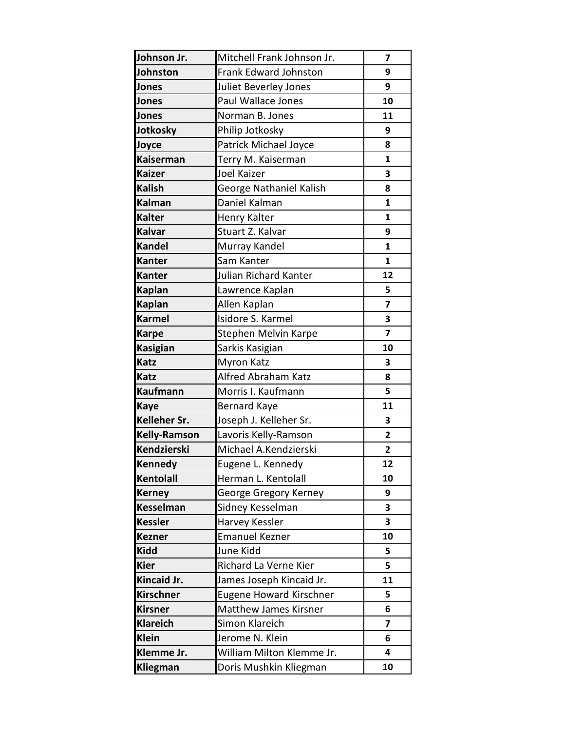| Johnson Jr.         | Mitchell Frank Johnson Jr.     | 7                       |
|---------------------|--------------------------------|-------------------------|
| Johnston            | <b>Frank Edward Johnston</b>   | 9                       |
| Jones               | Juliet Beverley Jones          | 9                       |
| Jones               | Paul Wallace Jones             | 10                      |
| Jones               | Norman B. Jones                | 11                      |
| Jotkosky            | Philip Jotkosky                | 9                       |
| Joyce               | Patrick Michael Joyce          | 8                       |
| <b>Kaiserman</b>    | Terry M. Kaiserman             | $\mathbf{1}$            |
| <b>Kaizer</b>       | <b>Joel Kaizer</b>             | 3                       |
| <b>Kalish</b>       | George Nathaniel Kalish        | 8                       |
| <b>Kalman</b>       | Daniel Kalman                  | $\mathbf{1}$            |
| <b>Kalter</b>       | Henry Kalter                   | 1                       |
| <b>Kalvar</b>       | Stuart Z. Kalvar               | 9                       |
| <b>Kandel</b>       | Murray Kandel                  | $\mathbf{1}$            |
| <b>Kanter</b>       | Sam Kanter                     | $\mathbf{1}$            |
| <b>Kanter</b>       | Julian Richard Kanter          | 12                      |
| <b>Kaplan</b>       | Lawrence Kaplan                | 5                       |
| <b>Kaplan</b>       | Allen Kaplan                   | $\overline{\mathbf{z}}$ |
| <b>Karmel</b>       | Isidore S. Karmel              | 3                       |
| <b>Karpe</b>        | Stephen Melvin Karpe           | $\overline{7}$          |
| <b>Kasigian</b>     | Sarkis Kasigian                | 10                      |
| <b>Katz</b>         | Myron Katz                     | 3                       |
| <b>Katz</b>         | Alfred Abraham Katz            | 8                       |
| <b>Kaufmann</b>     | Morris I. Kaufmann             | 5                       |
| <b>Kaye</b>         | <b>Bernard Kaye</b>            | 11                      |
| Kelleher Sr.        | Joseph J. Kelleher Sr.         | 3                       |
| <b>Kelly-Ramson</b> | Lavoris Kelly-Ramson           | $\overline{2}$          |
| Kendzierski         | Michael A.Kendzierski          | 2                       |
| <b>Kennedy</b>      | Eugene L. Kennedy              | 12                      |
| Kentolall           | Herman L. Kentolall            | 10                      |
| <b>Kerney</b>       | George Gregory Kerney          | 9                       |
| <b>Kesselman</b>    | Sidney Kesselman               | 3                       |
| <b>Kessler</b>      | Harvey Kessler                 | 3                       |
| <b>Kezner</b>       | <b>Emanuel Kezner</b>          | 10                      |
| <b>Kidd</b>         | June Kidd                      | 5                       |
| <b>Kier</b>         | Richard La Verne Kier          | 5                       |
| Kincaid Jr.         | James Joseph Kincaid Jr.       | 11                      |
| <b>Kirschner</b>    | <b>Eugene Howard Kirschner</b> | 5                       |
| <b>Kirsner</b>      | <b>Matthew James Kirsner</b>   | 6                       |
| <b>Klareich</b>     | Simon Klareich                 | 7                       |
| <b>Klein</b>        | Jerome N. Klein                | 6                       |
| Klemme Jr.          | William Milton Klemme Jr.      | 4                       |
| <b>Kliegman</b>     | Doris Mushkin Kliegman         | 10                      |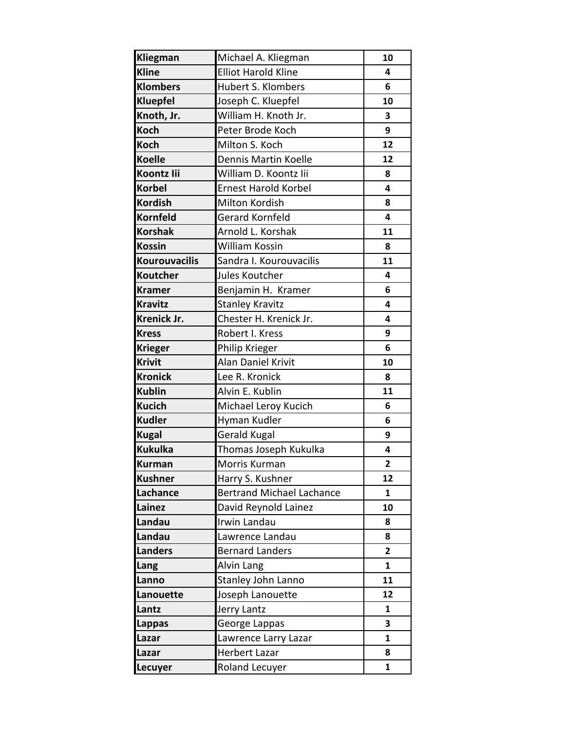| Kliegman             | Michael A. Kliegman              | 10                      |
|----------------------|----------------------------------|-------------------------|
| <b>Kline</b>         | <b>Elliot Harold Kline</b>       | 4                       |
| <b>Klombers</b>      | <b>Hubert S. Klombers</b>        | 6                       |
| <b>Kluepfel</b>      | Joseph C. Kluepfel               | 10                      |
| Knoth, Jr.           | William H. Knoth Jr.             | 3                       |
| <b>Koch</b>          | Peter Brode Koch                 | 9                       |
| <b>Koch</b>          | Milton S. Koch                   | 12                      |
| <b>Koelle</b>        | Dennis Martin Koelle             | 12                      |
| <b>Koontz lii</b>    | William D. Koontz lii            | 8                       |
| <b>Korbel</b>        | <b>Ernest Harold Korbel</b>      | 4                       |
| <b>Kordish</b>       | Milton Kordish                   | 8                       |
| <b>Kornfeld</b>      | <b>Gerard Kornfeld</b>           | 4                       |
| <b>Korshak</b>       | Arnold L. Korshak                | 11                      |
| <b>Kossin</b>        | William Kossin                   | 8                       |
| <b>Kourouvacilis</b> | Sandra I. Kourouvacilis          | 11                      |
| <b>Koutcher</b>      | Jules Koutcher                   | 4                       |
| <b>Kramer</b>        | Benjamin H. Kramer               | 6                       |
| <b>Kravitz</b>       | <b>Stanley Kravitz</b>           | 4                       |
| Krenick Jr.          | Chester H. Krenick Jr.           | 4                       |
| <b>Kress</b>         | Robert I. Kress                  | 9                       |
| <b>Krieger</b>       | Philip Krieger                   | 6                       |
| <b>Krivit</b>        | Alan Daniel Krivit               | 10                      |
| <b>Kronick</b>       | Lee R. Kronick                   | 8                       |
| <b>Kublin</b>        | Alvin E. Kublin                  | 11                      |
| <b>Kucich</b>        | Michael Leroy Kucich             | 6                       |
| <b>Kudler</b>        | Hyman Kudler                     | 6                       |
| <b>Kugal</b>         | Gerald Kugal                     | 9                       |
| <b>Kukulka</b>       | Thomas Joseph Kukulka            | 4                       |
| <b>Kurman</b>        | Morris Kurman                    | $\overline{\mathbf{c}}$ |
| <b>Kushner</b>       | Harry S. Kushner                 | 12                      |
| Lachance             | <b>Bertrand Michael Lachance</b> | 1                       |
| Lainez               | David Reynold Lainez             | 10                      |
| Landau               | Irwin Landau                     | 8                       |
| Landau               | Lawrence Landau                  | 8                       |
| <b>Landers</b>       | <b>Bernard Landers</b>           | $\overline{2}$          |
| Lang                 | Alvin Lang                       | 1                       |
| Lanno                | Stanley John Lanno               | 11                      |
| Lanouette            | Joseph Lanouette                 | 12                      |
| Lantz                | Jerry Lantz                      | $\mathbf{1}$            |
| <b>Lappas</b>        | George Lappas                    | 3                       |
| Lazar                | Lawrence Larry Lazar             | 1                       |
| Lazar                | Herbert Lazar                    | 8                       |
| Lecuyer              | Roland Lecuyer                   | $\mathbf{1}$            |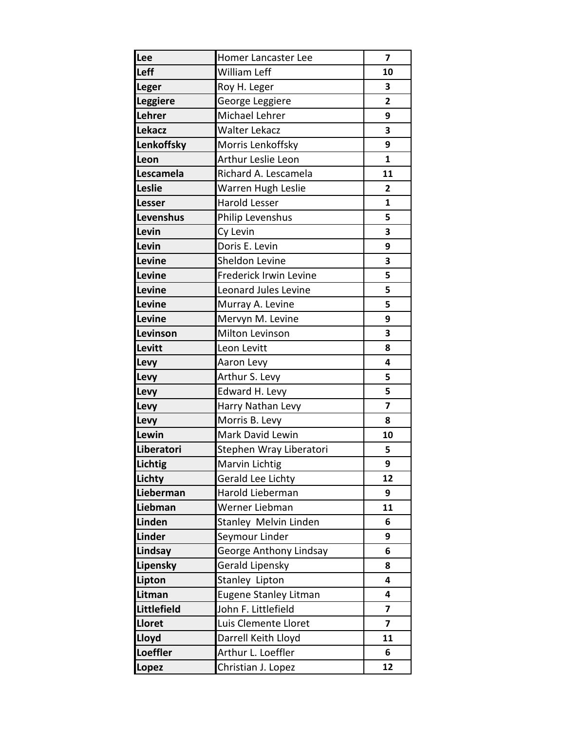| Lee             | Homer Lancaster Lee         | 7                       |
|-----------------|-----------------------------|-------------------------|
| Leff            | <b>William Leff</b>         | 10                      |
| <b>Leger</b>    | Roy H. Leger                | 3                       |
| <b>Leggiere</b> | George Leggiere             | $\overline{\mathbf{2}}$ |
| Lehrer          | <b>Michael Lehrer</b>       | 9                       |
| <b>Lekacz</b>   | <b>Walter Lekacz</b>        | 3                       |
| Lenkoffsky      | Morris Lenkoffsky           | 9                       |
| Leon            | Arthur Leslie Leon          | $\mathbf{1}$            |
| Lescamela       | Richard A. Lescamela        | 11                      |
| Leslie          | Warren Hugh Leslie          | $\overline{2}$          |
| Lesser          | <b>Harold Lesser</b>        | $\mathbf{1}$            |
| Levenshus       | Philip Levenshus            | 5                       |
| Levin           | Cy Levin                    | 3                       |
| Levin           | Doris E. Levin              | 9                       |
| Levine          | Sheldon Levine              | 3                       |
| Levine          | Frederick Irwin Levine      | 5                       |
| Levine          | <b>Leonard Jules Levine</b> | 5                       |
| Levine          | Murray A. Levine            | 5                       |
| Levine          | Mervyn M. Levine            | 9                       |
| Levinson        | Milton Levinson             | 3                       |
| Levitt          | Leon Levitt                 | 8                       |
| Levy            | Aaron Levy                  | 4                       |
| Levy            | Arthur S. Levy              | 5                       |
| Levy            | Edward H. Levy              | 5                       |
| Levy            | Harry Nathan Levy           | $\overline{\mathbf{z}}$ |
| Levy            | Morris B. Levy              | 8                       |
| Lewin           | Mark David Lewin            | 10                      |
| Liberatori      | Stephen Wray Liberatori     | 5                       |
| Lichtig         | Marvin Lichtig              | 9                       |
| Lichty          | Gerald Lee Lichty           | 12                      |
| Lieberman       | Harold Lieberman            | 9                       |
| Liebman         | Werner Liebman              | 11                      |
| Linden          | Stanley Melvin Linden       | 6                       |
| <b>Linder</b>   | Seymour Linder              | 9                       |
| Lindsay         | George Anthony Lindsay      | 6                       |
| Lipensky        | Gerald Lipensky             | 8                       |
| Lipton          | Stanley Lipton              | 4                       |
| Litman          | Eugene Stanley Litman       | 4                       |
| Littlefield     | John F. Littlefield         | $\overline{7}$          |
| Lloret          | Luis Clemente Lloret        | $\overline{\mathbf{z}}$ |
| Lloyd           | Darrell Keith Lloyd         | 11                      |
| <b>Loeffler</b> | Arthur L. Loeffler          | 6                       |
| Lopez           | Christian J. Lopez          | 12                      |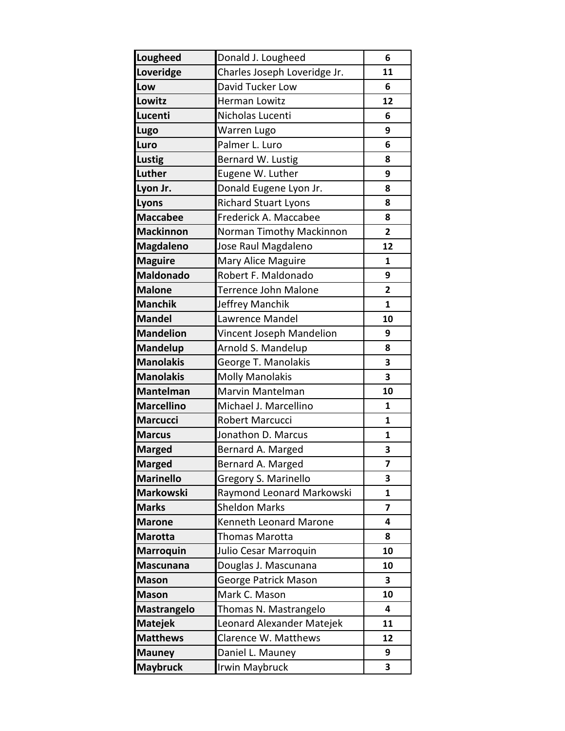| <b>Lougheed</b>    | Donald J. Lougheed           | 6                       |
|--------------------|------------------------------|-------------------------|
| Loveridge          | Charles Joseph Loveridge Jr. | 11                      |
| Low                | David Tucker Low             | 6                       |
| Lowitz             | Herman Lowitz                | 12                      |
| Lucenti            | Nicholas Lucenti             | 6                       |
| Lugo               | Warren Lugo                  | 9                       |
| Luro               | Palmer L. Luro               | 6                       |
| <b>Lustig</b>      | Bernard W. Lustig            | 8                       |
| Luther             | Eugene W. Luther             | 9                       |
| Lyon Jr.           | Donald Eugene Lyon Jr.       | 8                       |
| Lyons              | <b>Richard Stuart Lyons</b>  | 8                       |
| <b>Maccabee</b>    | Frederick A. Maccabee        | 8                       |
| <b>Mackinnon</b>   | Norman Timothy Mackinnon     | $\overline{2}$          |
| <b>Magdaleno</b>   | Jose Raul Magdaleno          | 12                      |
| <b>Maguire</b>     | Mary Alice Maguire           | $\mathbf{1}$            |
| <b>Maldonado</b>   | Robert F. Maldonado          | 9                       |
| <b>Malone</b>      | Terrence John Malone         | $\overline{2}$          |
| <b>Manchik</b>     | Jeffrey Manchik              | $\mathbf{1}$            |
| <b>Mandel</b>      | Lawrence Mandel              | 10                      |
| <b>Mandelion</b>   | Vincent Joseph Mandelion     | 9                       |
| <b>Mandelup</b>    | Arnold S. Mandelup           | 8                       |
| <b>Manolakis</b>   | George T. Manolakis          | 3                       |
| <b>Manolakis</b>   | <b>Molly Manolakis</b>       | 3                       |
| Mantelman          | Marvin Mantelman             | 10                      |
| <b>Marcellino</b>  | Michael J. Marcellino        | $\mathbf{1}$            |
| <b>Marcucci</b>    | Robert Marcucci              | $\mathbf{1}$            |
| <b>Marcus</b>      | Jonathon D. Marcus           | $\mathbf{1}$            |
| <b>Marged</b>      | Bernard A. Marged            | 3                       |
| <b>Marged</b>      | Bernard A. Marged            | 7                       |
| <b>Marinello</b>   | Gregory S. Marinello         | 3                       |
| <b>Markowski</b>   | Raymond Leonard Markowski    | 1                       |
| <b>Marks</b>       | <b>Sheldon Marks</b>         | $\overline{\mathbf{z}}$ |
| <b>Marone</b>      | Kenneth Leonard Marone       | 4                       |
| <b>Marotta</b>     | <b>Thomas Marotta</b>        | 8                       |
| <b>Marroquin</b>   | Julio Cesar Marroquin        | 10                      |
| <b>Mascunana</b>   | Douglas J. Mascunana         | 10                      |
| <b>Mason</b>       | George Patrick Mason         | 3                       |
| <b>Mason</b>       | Mark C. Mason                | 10                      |
| <b>Mastrangelo</b> | Thomas N. Mastrangelo        | 4                       |
| <b>Matejek</b>     | Leonard Alexander Matejek    | 11                      |
| <b>Matthews</b>    | Clarence W. Matthews         | 12                      |
| <b>Mauney</b>      | Daniel L. Mauney             | 9                       |
| <b>Maybruck</b>    | Irwin Maybruck               | 3                       |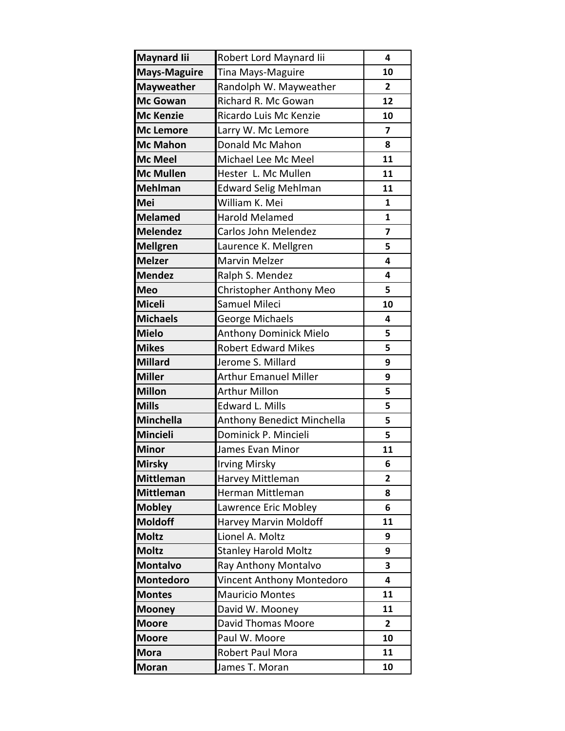| <b>Maynard lii</b>  | Robert Lord Maynard Iii           | 4                       |
|---------------------|-----------------------------------|-------------------------|
| <b>Mays-Maguire</b> | Tina Mays-Maguire                 | 10                      |
| <b>Mayweather</b>   | Randolph W. Mayweather            | $\overline{2}$          |
| <b>Mc Gowan</b>     | Richard R. Mc Gowan               | 12                      |
| <b>Mc Kenzie</b>    | Ricardo Luis Mc Kenzie            | 10                      |
| <b>Mc Lemore</b>    | Larry W. Mc Lemore                | $\overline{\mathbf{z}}$ |
| <b>Mc Mahon</b>     | Donald Mc Mahon                   | 8                       |
| <b>Mc Meel</b>      | Michael Lee Mc Meel               | 11                      |
| <b>Mc Mullen</b>    | Hester L. Mc Mullen               | 11                      |
| <b>Mehlman</b>      | <b>Edward Selig Mehlman</b>       | 11                      |
| Mei                 | William K. Mei                    | $\mathbf{1}$            |
| <b>Melamed</b>      | <b>Harold Melamed</b>             | $\mathbf{1}$            |
| <b>Melendez</b>     | Carlos John Melendez              | $\overline{z}$          |
| <b>Mellgren</b>     | Laurence K. Mellgren              | 5                       |
| <b>Melzer</b>       | <b>Marvin Melzer</b>              | 4                       |
| <b>Mendez</b>       | Ralph S. Mendez                   | 4                       |
| <b>Meo</b>          | <b>Christopher Anthony Meo</b>    | 5                       |
| <b>Miceli</b>       | Samuel Mileci                     | 10                      |
| <b>Michaels</b>     | George Michaels                   | 4                       |
| <b>Mielo</b>        | <b>Anthony Dominick Mielo</b>     | 5                       |
| <b>Mikes</b>        | <b>Robert Edward Mikes</b>        | 5                       |
| <b>Millard</b>      | Jerome S. Millard                 | 9                       |
| <b>Miller</b>       | <b>Arthur Emanuel Miller</b>      | 9                       |
| <b>Millon</b>       | <b>Arthur Millon</b>              | 5                       |
| <b>Mills</b>        | <b>Edward L. Mills</b>            | 5                       |
| <b>Minchella</b>    | <b>Anthony Benedict Minchella</b> | 5                       |
| <b>Mincieli</b>     | Dominick P. Mincieli              | 5                       |
| <b>Minor</b>        | James Evan Minor                  | 11                      |
| <b>Mirsky</b>       | Irving Mirsky                     | 6                       |
| <b>Mittleman</b>    | Harvey Mittleman                  | 2                       |
| <b>Mittleman</b>    | Herman Mittleman                  | 8                       |
| <b>Mobley</b>       | Lawrence Eric Mobley              | 6                       |
| <b>Moldoff</b>      | Harvey Marvin Moldoff             | 11                      |
| <b>Moltz</b>        | Lionel A. Moltz                   | 9                       |
| <b>Moltz</b>        | <b>Stanley Harold Moltz</b>       | 9                       |
| <b>Montalvo</b>     | Ray Anthony Montalvo              | 3                       |
| <b>Montedoro</b>    | <b>Vincent Anthony Montedoro</b>  | 4                       |
| <b>Montes</b>       | <b>Mauricio Montes</b>            | 11                      |
| <b>Mooney</b>       | David W. Mooney                   | 11                      |
| <b>Moore</b>        | David Thomas Moore                | $\overline{2}$          |
| <b>Moore</b>        | Paul W. Moore                     | 10                      |
| <b>Mora</b>         | Robert Paul Mora                  | 11                      |
| <b>Moran</b>        | James T. Moran                    | 10                      |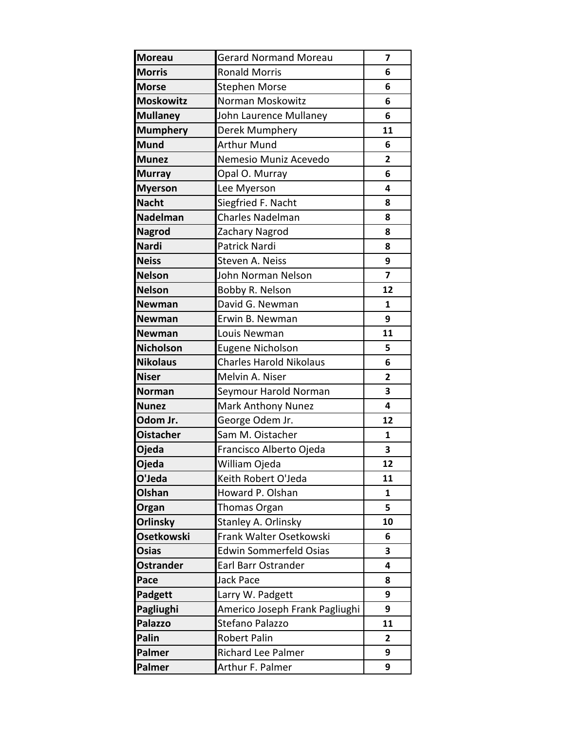| <b>Moreau</b>     | <b>Gerard Normand Moreau</b>   | 7                       |
|-------------------|--------------------------------|-------------------------|
| <b>Morris</b>     | <b>Ronald Morris</b>           | 6                       |
| <b>Morse</b>      | <b>Stephen Morse</b>           | 6                       |
| <b>Moskowitz</b>  | Norman Moskowitz               | 6                       |
| <b>Mullaney</b>   | John Laurence Mullaney         | 6                       |
| <b>Mumphery</b>   | Derek Mumphery                 | 11                      |
| <b>Mund</b>       | <b>Arthur Mund</b>             | 6                       |
| <b>Munez</b>      | Nemesio Muniz Acevedo          | 2                       |
| <b>Murray</b>     | Opal O. Murray                 | 6                       |
| <b>Myerson</b>    | Lee Myerson                    | 4                       |
| <b>Nacht</b>      | Siegfried F. Nacht             | 8                       |
| <b>Nadelman</b>   | Charles Nadelman               | 8                       |
| <b>Nagrod</b>     | Zachary Nagrod                 | 8                       |
| <b>Nardi</b>      | Patrick Nardi                  | 8                       |
| <b>Neiss</b>      | Steven A. Neiss                | 9                       |
| <b>Nelson</b>     | John Norman Nelson             | $\overline{\mathbf{z}}$ |
| <b>Nelson</b>     | Bobby R. Nelson                | 12                      |
| <b>Newman</b>     | David G. Newman                | $\mathbf{1}$            |
| <b>Newman</b>     | Erwin B. Newman                | 9                       |
| <b>Newman</b>     | Louis Newman                   | 11                      |
| <b>Nicholson</b>  | Eugene Nicholson               | 5                       |
| <b>Nikolaus</b>   | <b>Charles Harold Nikolaus</b> | 6                       |
| <b>Niser</b>      | Melvin A. Niser                | $\overline{2}$          |
| <b>Norman</b>     | Seymour Harold Norman          | 3                       |
| <b>Nunez</b>      | <b>Mark Anthony Nunez</b>      | 4                       |
| Odom Jr.          | George Odem Jr.                | 12                      |
| <b>Oistacher</b>  | Sam M. Oistacher               | $\mathbf{1}$            |
| Ojeda             | Francisco Alberto Ojeda        | 3                       |
| Ojeda             | William Ojeda                  | 12                      |
| O'Jeda            | Keith Robert O'Jeda            | 11                      |
| Olshan            | Howard P. Olshan               | 1                       |
| Organ             | <b>Thomas Organ</b>            | 5                       |
| <b>Orlinsky</b>   | Stanley A. Orlinsky            | 10                      |
| <b>Osetkowski</b> | Frank Walter Osetkowski        | 6                       |
| <b>Osias</b>      | <b>Edwin Sommerfeld Osias</b>  | 3                       |
| <b>Ostrander</b>  | Earl Barr Ostrander            | 4                       |
| Pace              | <b>Jack Pace</b>               | 8                       |
| Padgett           | Larry W. Padgett               | 9                       |
| Pagliughi         | Americo Joseph Frank Pagliughi | 9                       |
| <b>Palazzo</b>    | Stefano Palazzo                | 11                      |
| Palin             | <b>Robert Palin</b>            | 2                       |
| Palmer            | Richard Lee Palmer             | 9                       |
| Palmer            | Arthur F. Palmer               | 9                       |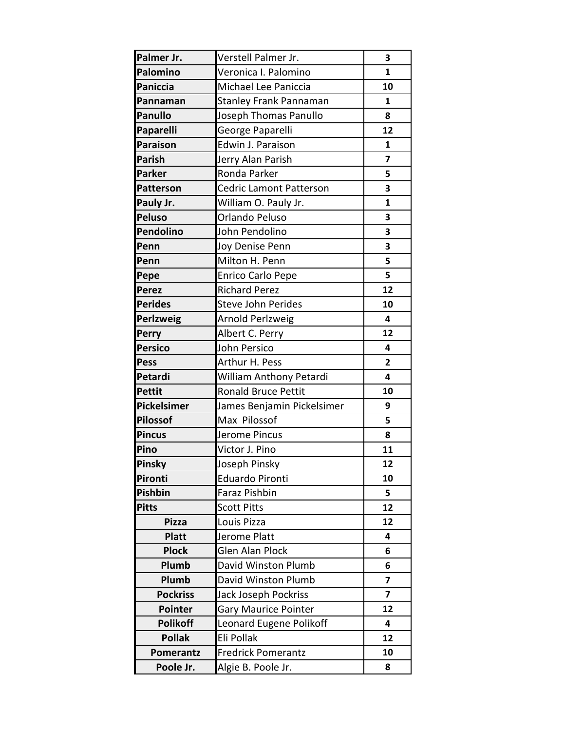| Palmer Jr.       | Verstell Palmer Jr.            | 3                       |
|------------------|--------------------------------|-------------------------|
| Palomino         | Veronica I. Palomino           | $\mathbf{1}$            |
| <b>Paniccia</b>  | Michael Lee Paniccia           | 10                      |
| Pannaman         | <b>Stanley Frank Pannaman</b>  | 1                       |
| <b>Panullo</b>   | Joseph Thomas Panullo          | 8                       |
| Paparelli        | George Paparelli               | 12                      |
| <b>Paraison</b>  | Edwin J. Paraison              | $\mathbf{1}$            |
| <b>Parish</b>    | Jerry Alan Parish              | $\overline{\mathbf{z}}$ |
| <b>Parker</b>    | Ronda Parker                   | 5                       |
| <b>Patterson</b> | <b>Cedric Lamont Patterson</b> | 3                       |
| Pauly Jr.        | William O. Pauly Jr.           | $\mathbf{1}$            |
| <b>Peluso</b>    | Orlando Peluso                 | 3                       |
| Pendolino        | John Pendolino                 | 3                       |
| Penn             | Joy Denise Penn                | 3                       |
| Penn             | Milton H. Penn                 | 5                       |
| Pepe             | Enrico Carlo Pepe              | 5                       |
| <b>Perez</b>     | <b>Richard Perez</b>           | 12                      |
| <b>Perides</b>   | <b>Steve John Perides</b>      | 10                      |
| Perlzweig        | Arnold Perlzweig               | 4                       |
| Perry            | Albert C. Perry                | 12                      |
| <b>Persico</b>   | John Persico                   | 4                       |
| <b>Pess</b>      | Arthur H. Pess                 | $\mathbf{2}$            |
| Petardi          | William Anthony Petardi        | 4                       |
| <b>Pettit</b>    | <b>Ronald Bruce Pettit</b>     | 10                      |
| Pickelsimer      | James Benjamin Pickelsimer     | 9                       |
| <b>Pilossof</b>  | Max Pilossof                   | 5                       |
| <b>Pincus</b>    | Jerome Pincus                  | 8                       |
| Pino             | Victor J. Pino                 | 11                      |
| Pinsky           | Joseph Pinsky                  | 12                      |
| Pironti          | <b>Eduardo Pironti</b>         | 10                      |
| Pishbin          | Faraz Pishbin                  | 5                       |
| <b>Pitts</b>     | <b>Scott Pitts</b>             | 12                      |
| <b>Pizza</b>     | Louis Pizza                    | 12                      |
| <b>Platt</b>     | Jerome Platt                   | 4                       |
| <b>Plock</b>     | <b>Glen Alan Plock</b>         | 6                       |
| Plumb            | David Winston Plumb            | 6                       |
| Plumb            | David Winston Plumb            | $\overline{\mathbf{z}}$ |
| <b>Pockriss</b>  | Jack Joseph Pockriss           | $\overline{\mathbf{z}}$ |
| Pointer          | <b>Gary Maurice Pointer</b>    | 12                      |
| <b>Polikoff</b>  | Leonard Eugene Polikoff        | 4                       |
| <b>Pollak</b>    | Eli Pollak                     | 12                      |
| <b>Pomerantz</b> | <b>Fredrick Pomerantz</b>      | 10                      |
| Poole Jr.        | Algie B. Poole Jr.             | 8                       |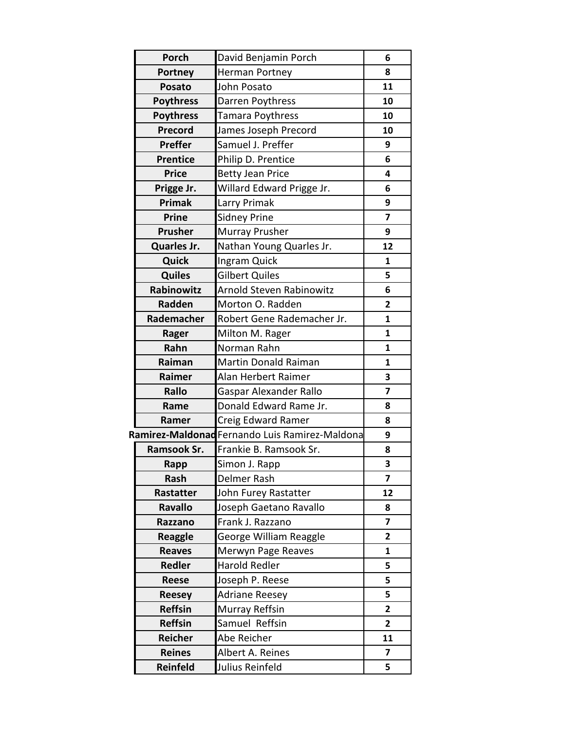| <b>Porch</b>      | David Benjamin Porch                           | 6                       |
|-------------------|------------------------------------------------|-------------------------|
| Portney           | Herman Portney                                 | 8                       |
| <b>Posato</b>     | John Posato                                    | 11                      |
| <b>Poythress</b>  | Darren Poythress                               | 10                      |
| <b>Poythress</b>  | Tamara Poythress                               | 10                      |
| Precord           | James Joseph Precord                           | 10                      |
| <b>Preffer</b>    | Samuel J. Preffer                              | 9                       |
| <b>Prentice</b>   | Philip D. Prentice                             | 6                       |
| <b>Price</b>      | <b>Betty Jean Price</b>                        | 4                       |
| Prigge Jr.        | Willard Edward Prigge Jr.                      | 6                       |
| Primak            | Larry Primak                                   | 9                       |
| <b>Prine</b>      | <b>Sidney Prine</b>                            | $\overline{\mathbf{z}}$ |
| Prusher           | <b>Murray Prusher</b>                          | 9                       |
| Quarles Jr.       | Nathan Young Quarles Jr.                       | 12                      |
| Quick             | Ingram Quick                                   | 1                       |
| <b>Quiles</b>     | <b>Gilbert Quiles</b>                          | 5                       |
| <b>Rabinowitz</b> | Arnold Steven Rabinowitz                       | 6                       |
| <b>Radden</b>     | Morton O. Radden                               | $\overline{2}$          |
| Rademacher        | Robert Gene Rademacher Jr.                     | $\mathbf{1}$            |
| Rager             | Milton M. Rager                                | $\mathbf{1}$            |
| Rahn              | Norman Rahn                                    | $\mathbf{1}$            |
| Raiman            | <b>Martin Donald Raiman</b>                    | $\mathbf{1}$            |
| Raimer            | Alan Herbert Raimer                            | 3                       |
| Rallo             | <b>Gaspar Alexander Rallo</b>                  | $\overline{\mathbf{z}}$ |
| Rame              | Donald Edward Rame Jr.                         | 8                       |
| Ramer             | Creig Edward Ramer                             | 8                       |
|                   | Ramirez-Maldonad Fernando Luis Ramirez-Maldona | 9                       |
| Ramsook Sr.       | Frankie B. Ramsook Sr.                         | 8                       |
| Rapp              | Simon J. Rapp                                  | 3                       |
| Rash              | Delmer Rash                                    | $\overline{7}$          |
| Rastatter         | John Furey Rastatter                           | 12                      |
| <b>Ravallo</b>    | Joseph Gaetano Ravallo                         | 8                       |
| Razzano           | Frank J. Razzano                               | $\overline{\mathbf{z}}$ |
| <b>Reaggle</b>    | George William Reaggle                         | 2                       |
| <b>Reaves</b>     | Merwyn Page Reaves                             | $\mathbf{1}$            |
| Redler            | <b>Harold Redler</b>                           | 5                       |
| Reese             | Joseph P. Reese                                | 5                       |
| <b>Reesey</b>     | <b>Adriane Reesey</b>                          | 5                       |
| <b>Reffsin</b>    | Murray Reffsin                                 | $\mathbf{2}$            |
| <b>Reffsin</b>    | Samuel Reffsin                                 | $\mathbf{2}$            |
| Reicher           | Abe Reicher                                    | 11                      |
| <b>Reines</b>     | Albert A. Reines                               | 7                       |
| <b>Reinfeld</b>   | Julius Reinfeld                                | 5                       |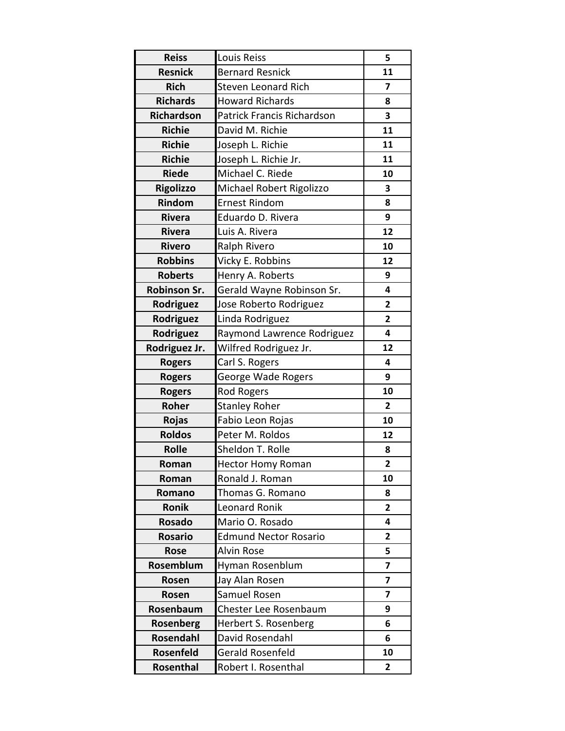| <b>Reiss</b>      | Louis Reiss                       | 5                       |
|-------------------|-----------------------------------|-------------------------|
| <b>Resnick</b>    | <b>Bernard Resnick</b>            | 11                      |
| <b>Rich</b>       | <b>Steven Leonard Rich</b>        | $\overline{7}$          |
| <b>Richards</b>   | <b>Howard Richards</b>            | 8                       |
| <b>Richardson</b> | <b>Patrick Francis Richardson</b> | 3                       |
| <b>Richie</b>     | David M. Richie                   | 11                      |
| <b>Richie</b>     | Joseph L. Richie                  | 11                      |
| <b>Richie</b>     | Joseph L. Richie Jr.              | 11                      |
| <b>Riede</b>      | Michael C. Riede                  | 10                      |
| <b>Rigolizzo</b>  | Michael Robert Rigolizzo          | 3                       |
| Rindom            | <b>Ernest Rindom</b>              | 8                       |
| <b>Rivera</b>     | Eduardo D. Rivera                 | 9                       |
| <b>Rivera</b>     | Luis A. Rivera                    | 12                      |
| <b>Rivero</b>     | Ralph Rivero                      | 10                      |
| <b>Robbins</b>    | Vicky E. Robbins                  | 12                      |
| <b>Roberts</b>    | Henry A. Roberts                  | 9                       |
| Robinson Sr.      | Gerald Wayne Robinson Sr.         | 4                       |
| Rodriguez         | Jose Roberto Rodriguez            | 2                       |
| Rodriguez         | Linda Rodriguez                   | $\overline{2}$          |
| Rodriguez         | Raymond Lawrence Rodriguez        | 4                       |
| Rodriguez Jr.     | Wilfred Rodriguez Jr.             | 12                      |
| <b>Rogers</b>     | Carl S. Rogers                    | 4                       |
| <b>Rogers</b>     | George Wade Rogers                | 9                       |
| <b>Rogers</b>     | <b>Rod Rogers</b>                 | 10                      |
| Roher             | <b>Stanley Roher</b>              | $\overline{2}$          |
| Rojas             | Fabio Leon Rojas                  | 10                      |
| <b>Roldos</b>     | Peter M. Roldos                   | 12                      |
| <b>Rolle</b>      | Sheldon T. Rolle                  | 8                       |
| Roman             | <b>Hector Homy Roman</b>          | $\overline{2}$          |
| Roman             | Ronald J. Roman                   | 10                      |
| Romano            | Thomas G. Romano                  | 8                       |
| Ronik             | Leonard Ronik                     | $\overline{2}$          |
| <b>Rosado</b>     | Mario O. Rosado                   | 4                       |
| <b>Rosario</b>    | <b>Edmund Nector Rosario</b>      | 2                       |
| <b>Rose</b>       | <b>Alvin Rose</b>                 | 5                       |
| <b>Rosemblum</b>  | Hyman Rosenblum                   | $\overline{\mathbf{z}}$ |
| Rosen             | Jay Alan Rosen                    | $\overline{7}$          |
| Rosen             | Samuel Rosen                      | 7                       |
| Rosenbaum         | Chester Lee Rosenbaum             | 9                       |
| Rosenberg         | Herbert S. Rosenberg              | 6                       |
| Rosendahl         | David Rosendahl                   | 6                       |
| Rosenfeld         | Gerald Rosenfeld                  | 10                      |
| Rosenthal         | Robert I. Rosenthal               | 2                       |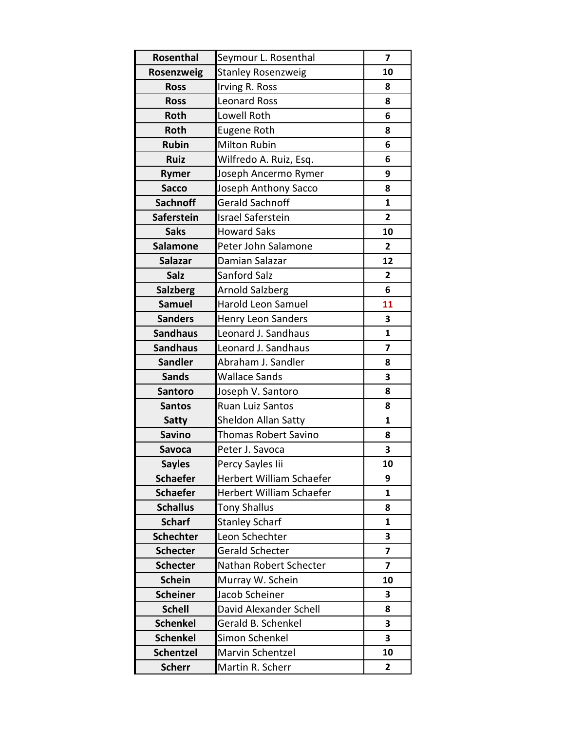| Rosenthal         | Seymour L. Rosenthal        | 7              |
|-------------------|-----------------------------|----------------|
| Rosenzweig        | <b>Stanley Rosenzweig</b>   | 10             |
| <b>Ross</b>       | Irving R. Ross              | 8              |
| <b>Ross</b>       | <b>Leonard Ross</b>         | 8              |
| Roth              | Lowell Roth                 | 6              |
| Roth              | <b>Eugene Roth</b>          | 8              |
| <b>Rubin</b>      | <b>Milton Rubin</b>         | 6              |
| <b>Ruiz</b>       | Wilfredo A. Ruiz, Esq.      | 6              |
| Rymer             | Joseph Ancermo Rymer        | 9              |
| <b>Sacco</b>      | Joseph Anthony Sacco        | 8              |
| <b>Sachnoff</b>   | <b>Gerald Sachnoff</b>      | $\mathbf{1}$   |
| <b>Saferstein</b> | <b>Israel Saferstein</b>    | $\overline{2}$ |
| <b>Saks</b>       | <b>Howard Saks</b>          | 10             |
| <b>Salamone</b>   | Peter John Salamone         | $\overline{2}$ |
| <b>Salazar</b>    | Damian Salazar              | 12             |
| Salz              | Sanford Salz                | $\overline{2}$ |
| <b>Salzberg</b>   | <b>Arnold Salzberg</b>      | 6              |
| <b>Samuel</b>     | <b>Harold Leon Samuel</b>   | 11             |
| <b>Sanders</b>    | Henry Leon Sanders          | 3              |
| <b>Sandhaus</b>   | Leonard J. Sandhaus         | $\mathbf{1}$   |
| <b>Sandhaus</b>   | Leonard J. Sandhaus         | 7              |
| <b>Sandler</b>    | Abraham J. Sandler          | 8              |
| <b>Sands</b>      | <b>Wallace Sands</b>        | 3              |
| <b>Santoro</b>    | Joseph V. Santoro           | 8              |
| <b>Santos</b>     | Ruan Luiz Santos            | 8              |
| <b>Satty</b>      | Sheldon Allan Satty         | $\mathbf{1}$   |
| <b>Savino</b>     | <b>Thomas Robert Savino</b> | 8              |
| <b>Savoca</b>     | Peter J. Savoca             | 3              |
| <b>Sayles</b>     | Percy Sayles lii            | 10             |
| <b>Schaefer</b>   | Herbert William Schaefer    | 9              |
| <b>Schaefer</b>   | Herbert William Schaefer    | $\mathbf{1}$   |
| <b>Schallus</b>   | <b>Tony Shallus</b>         | 8              |
| <b>Scharf</b>     | <b>Stanley Scharf</b>       | $\mathbf{1}$   |
| <b>Schechter</b>  | Leon Schechter              | 3              |
| <b>Schecter</b>   | Gerald Schecter             | $\overline{7}$ |
| <b>Schecter</b>   | Nathan Robert Schecter      | 7              |
| <b>Schein</b>     | Murray W. Schein            | 10             |
| <b>Scheiner</b>   | Jacob Scheiner              | 3              |
| <b>Schell</b>     | David Alexander Schell      | 8              |
| <b>Schenkel</b>   | Gerald B. Schenkel          | 3              |
| <b>Schenkel</b>   | Simon Schenkel              | 3              |
| <b>Schentzel</b>  | Marvin Schentzel            | 10             |
| <b>Scherr</b>     | Martin R. Scherr            | 2              |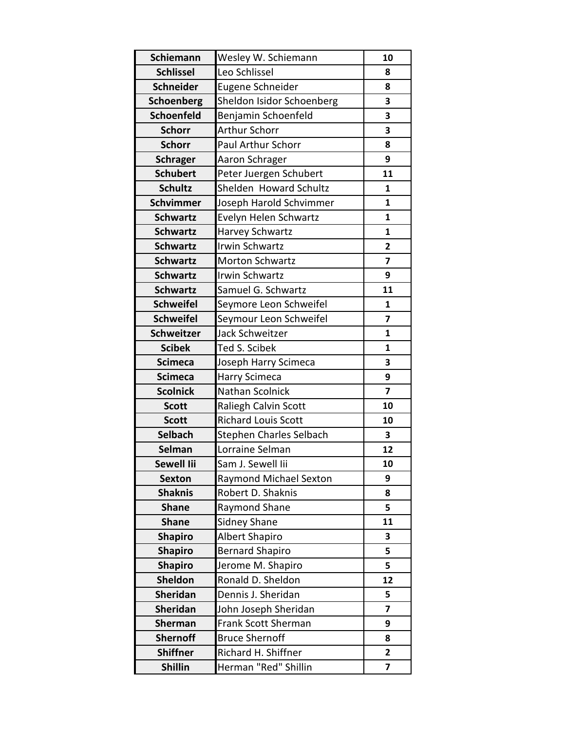| Schiemann         | Wesley W. Schiemann        | 10                      |
|-------------------|----------------------------|-------------------------|
| <b>Schlissel</b>  | Leo Schlissel              | 8                       |
| <b>Schneider</b>  | Eugene Schneider           | 8                       |
| <b>Schoenberg</b> | Sheldon Isidor Schoenberg  | 3                       |
| <b>Schoenfeld</b> | Benjamin Schoenfeld        | 3                       |
| <b>Schorr</b>     | <b>Arthur Schorr</b>       | 3                       |
| <b>Schorr</b>     | <b>Paul Arthur Schorr</b>  | 8                       |
| <b>Schrager</b>   | Aaron Schrager             | 9                       |
| <b>Schubert</b>   | Peter Juergen Schubert     | 11                      |
| <b>Schultz</b>    | Shelden Howard Schultz     | $\mathbf{1}$            |
| <b>Schvimmer</b>  | Joseph Harold Schvimmer    | $\mathbf{1}$            |
| <b>Schwartz</b>   | Evelyn Helen Schwartz      | $\mathbf{1}$            |
| <b>Schwartz</b>   | Harvey Schwartz            | $\mathbf{1}$            |
| <b>Schwartz</b>   | Irwin Schwartz             | $\mathbf{2}$            |
| <b>Schwartz</b>   | <b>Morton Schwartz</b>     | $\overline{\mathbf{z}}$ |
| <b>Schwartz</b>   | <b>Irwin Schwartz</b>      | 9                       |
| <b>Schwartz</b>   | Samuel G. Schwartz         | 11                      |
| <b>Schweifel</b>  | Seymore Leon Schweifel     | $\mathbf{1}$            |
| <b>Schweifel</b>  | Seymour Leon Schweifel     | $\overline{7}$          |
| <b>Schweitzer</b> | Jack Schweitzer            | 1                       |
| <b>Scibek</b>     | Ted S. Scibek              | $\mathbf{1}$            |
| <b>Scimeca</b>    | Joseph Harry Scimeca       | 3                       |
| <b>Scimeca</b>    | Harry Scimeca              | 9                       |
| <b>Scolnick</b>   | Nathan Scolnick            | $\overline{\mathbf{z}}$ |
| <b>Scott</b>      | Raliegh Calvin Scott       | 10                      |
| <b>Scott</b>      | <b>Richard Louis Scott</b> | 10                      |
| <b>Selbach</b>    | Stephen Charles Selbach    | 3                       |
| Selman            | Lorraine Selman            | 12                      |
| Sewell lii        | Sam J. Sewell Iii          | 10                      |
| <b>Sexton</b>     | Raymond Michael Sexton     | 9                       |
| <b>Shaknis</b>    | Robert D. Shaknis          | 8                       |
| <b>Shane</b>      | Raymond Shane              | 5                       |
| <b>Shane</b>      | <b>Sidney Shane</b>        | 11                      |
| <b>Shapiro</b>    | Albert Shapiro             | 3                       |
| <b>Shapiro</b>    | <b>Bernard Shapiro</b>     | 5                       |
| <b>Shapiro</b>    | Jerome M. Shapiro          | 5                       |
| Sheldon           | Ronald D. Sheldon          | 12                      |
| <b>Sheridan</b>   | Dennis J. Sheridan         | 5                       |
| <b>Sheridan</b>   | John Joseph Sheridan       | 7                       |
| <b>Sherman</b>    | Frank Scott Sherman        | 9                       |
| <b>Shernoff</b>   | <b>Bruce Shernoff</b>      | 8                       |
| <b>Shiffner</b>   | Richard H. Shiffner        | 2                       |
| <b>Shillin</b>    | Herman "Red" Shillin       | $\overline{\mathbf{z}}$ |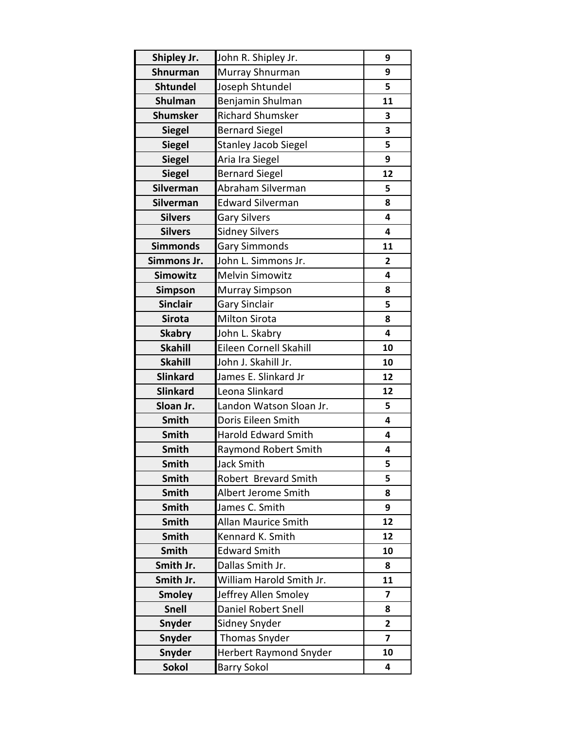| Shipley Jr.     | John R. Shipley Jr.           | 9              |
|-----------------|-------------------------------|----------------|
| Shnurman        | Murray Shnurman               | 9              |
| <b>Shtundel</b> | Joseph Shtundel               | 5              |
| <b>Shulman</b>  | Benjamin Shulman              | 11             |
| <b>Shumsker</b> | <b>Richard Shumsker</b>       | 3              |
| <b>Siegel</b>   | <b>Bernard Siegel</b>         | 3              |
| <b>Siegel</b>   | <b>Stanley Jacob Siegel</b>   | 5              |
| <b>Siegel</b>   | Aria Ira Siegel               | 9              |
| <b>Siegel</b>   | <b>Bernard Siegel</b>         | 12             |
| Silverman       | Abraham Silverman             | 5              |
| Silverman       | <b>Edward Silverman</b>       | 8              |
| <b>Silvers</b>  | <b>Gary Silvers</b>           | 4              |
| <b>Silvers</b>  | <b>Sidney Silvers</b>         | 4              |
| <b>Simmonds</b> | <b>Gary Simmonds</b>          | 11             |
| Simmons Jr.     | John L. Simmons Jr.           | 2              |
| <b>Simowitz</b> | <b>Melvin Simowitz</b>        | 4              |
| <b>Simpson</b>  | <b>Murray Simpson</b>         | 8              |
| <b>Sinclair</b> | <b>Gary Sinclair</b>          | 5              |
| <b>Sirota</b>   | <b>Milton Sirota</b>          | 8              |
| <b>Skabry</b>   | John L. Skabry                | 4              |
| <b>Skahill</b>  | Eileen Cornell Skahill        | 10             |
| <b>Skahill</b>  | John J. Skahill Jr.           | 10             |
| <b>Slinkard</b> | James E. Slinkard Jr          | 12             |
| <b>Slinkard</b> | Leona Slinkard                | 12             |
| Sloan Jr.       | Landon Watson Sloan Jr.       | 5              |
| <b>Smith</b>    | Doris Eileen Smith            | 4              |
| Smith           | <b>Harold Edward Smith</b>    | 4              |
| <b>Smith</b>    | <b>Raymond Robert Smith</b>   | 4              |
| <b>Smith</b>    | Jack Smith                    | 5              |
| <b>Smith</b>    | Robert Brevard Smith          | 5              |
| <b>Smith</b>    | Albert Jerome Smith           | 8              |
| <b>Smith</b>    | James C. Smith                | 9              |
| <b>Smith</b>    | <b>Allan Maurice Smith</b>    | 12             |
| <b>Smith</b>    | Kennard K. Smith              | 12             |
| <b>Smith</b>    | <b>Edward Smith</b>           | 10             |
| Smith Jr.       | Dallas Smith Jr.              | 8              |
| Smith Jr.       | William Harold Smith Jr.      | 11             |
| <b>Smoley</b>   | Jeffrey Allen Smoley          | 7              |
| <b>Snell</b>    | <b>Daniel Robert Snell</b>    | 8              |
| Snyder          | Sidney Snyder                 | $\overline{2}$ |
| <b>Snyder</b>   | <b>Thomas Snyder</b>          | $\overline{ }$ |
| <b>Snyder</b>   | <b>Herbert Raymond Snyder</b> | 10             |
| <b>Sokol</b>    | <b>Barry Sokol</b>            | 4              |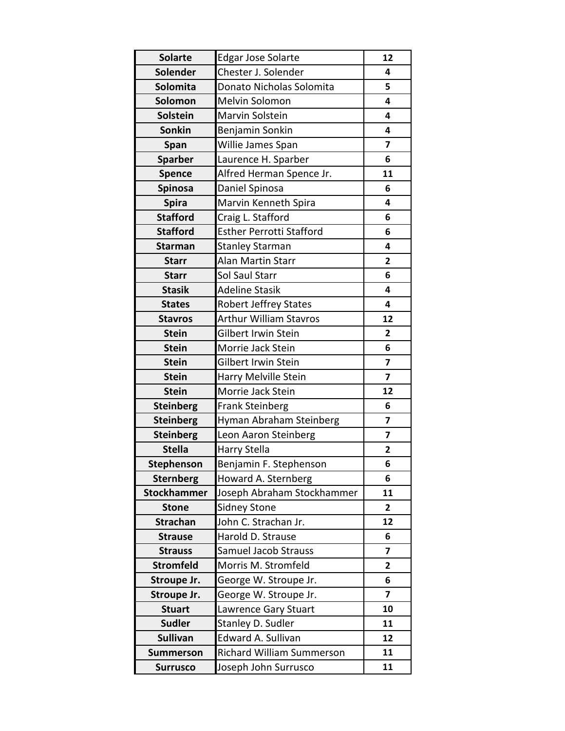| <b>Solarte</b>     | Edgar Jose Solarte              | 12                      |
|--------------------|---------------------------------|-------------------------|
| Solender           | Chester J. Solender             | 4                       |
| <b>Solomita</b>    | Donato Nicholas Solomita        | 5                       |
| Solomon            | Melvin Solomon                  | $\overline{\mathbf{4}}$ |
| <b>Solstein</b>    | Marvin Solstein                 | 4                       |
| Sonkin             | Benjamin Sonkin                 | 4                       |
| Span               | Willie James Span               | 7                       |
| <b>Sparber</b>     | Laurence H. Sparber             | 6                       |
| <b>Spence</b>      | Alfred Herman Spence Jr.        | 11                      |
| <b>Spinosa</b>     | Daniel Spinosa                  | 6                       |
| <b>Spira</b>       | Marvin Kenneth Spira            | 4                       |
| <b>Stafford</b>    | Craig L. Stafford               | 6                       |
| <b>Stafford</b>    | <b>Esther Perrotti Stafford</b> | 6                       |
| <b>Starman</b>     | <b>Stanley Starman</b>          | 4                       |
| <b>Starr</b>       | Alan Martin Starr               | 2                       |
| <b>Starr</b>       | Sol Saul Starr                  | 6                       |
| <b>Stasik</b>      | <b>Adeline Stasik</b>           | 4                       |
| <b>States</b>      | <b>Robert Jeffrey States</b>    | 4                       |
| <b>Stavros</b>     | <b>Arthur William Stavros</b>   | 12                      |
| <b>Stein</b>       | Gilbert Irwin Stein             | 2                       |
| <b>Stein</b>       | Morrie Jack Stein               | 6                       |
| <b>Stein</b>       | Gilbert Irwin Stein             | $\overline{\mathbf{z}}$ |
| <b>Stein</b>       | Harry Melville Stein            | 7                       |
| <b>Stein</b>       | Morrie Jack Stein               | 12                      |
| <b>Steinberg</b>   | <b>Frank Steinberg</b>          | 6                       |
| <b>Steinberg</b>   | Hyman Abraham Steinberg         | $\overline{\mathbf{z}}$ |
| <b>Steinberg</b>   | Leon Aaron Steinberg            | 7                       |
| <b>Stella</b>      | Harry Stella                    | $\overline{2}$          |
| <b>Stephenson</b>  | Benjamin F. Stephenson          | 6                       |
| <b>Sternberg</b>   | Howard A. Sternberg             | 6                       |
| <b>Stockhammer</b> | Joseph Abraham Stockhammer      | 11                      |
| <b>Stone</b>       | <b>Sidney Stone</b>             | $\overline{\mathbf{2}}$ |
| <b>Strachan</b>    | John C. Strachan Jr.            | 12                      |
| <b>Strause</b>     | Harold D. Strause               | 6                       |
| <b>Strauss</b>     | <b>Samuel Jacob Strauss</b>     | 7                       |
| <b>Stromfeld</b>   | Morris M. Stromfeld             | 2                       |
| Stroupe Jr.        | George W. Stroupe Jr.           | 6                       |
| Stroupe Jr.        | George W. Stroupe Jr.           | 7                       |
| <b>Stuart</b>      | Lawrence Gary Stuart            | 10                      |
| <b>Sudler</b>      | Stanley D. Sudler               | 11                      |
| <b>Sullivan</b>    | Edward A. Sullivan              | 12                      |
| <b>Summerson</b>   | Richard William Summerson       | 11                      |
| <b>Surrusco</b>    | Joseph John Surrusco            | 11                      |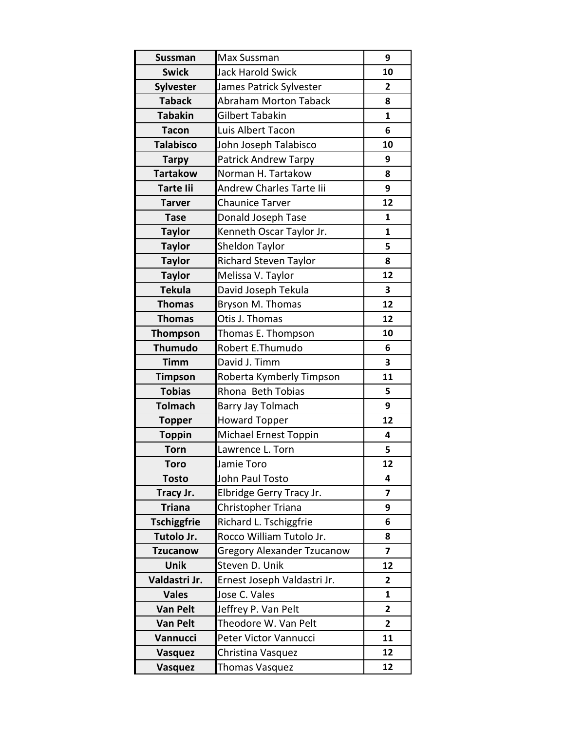| <b>Sussman</b>     | Max Sussman                       | 9              |
|--------------------|-----------------------------------|----------------|
| <b>Swick</b>       | <b>Jack Harold Swick</b>          | 10             |
| <b>Sylvester</b>   | James Patrick Sylvester           | $\overline{2}$ |
| <b>Taback</b>      | <b>Abraham Morton Taback</b>      | 8              |
| <b>Tabakin</b>     | Gilbert Tabakin                   | $\mathbf{1}$   |
| <b>Tacon</b>       | Luis Albert Tacon                 | 6              |
| <b>Talabisco</b>   | John Joseph Talabisco             | 10             |
| <b>Tarpy</b>       | Patrick Andrew Tarpy              | 9              |
| <b>Tartakow</b>    | Norman H. Tartakow                | 8              |
| <b>Tarte lii</b>   | Andrew Charles Tarte lii          | 9              |
| <b>Tarver</b>      | <b>Chaunice Tarver</b>            | 12             |
| <b>Tase</b>        | Donald Joseph Tase                | $\mathbf{1}$   |
| <b>Taylor</b>      | Kenneth Oscar Taylor Jr.          | $\mathbf{1}$   |
| <b>Taylor</b>      | Sheldon Taylor                    | 5              |
| <b>Taylor</b>      | <b>Richard Steven Taylor</b>      | 8              |
| <b>Taylor</b>      | Melissa V. Taylor                 | 12             |
| <b>Tekula</b>      | David Joseph Tekula               | 3              |
| <b>Thomas</b>      | Bryson M. Thomas                  | 12             |
| <b>Thomas</b>      | Otis J. Thomas                    | 12             |
| <b>Thompson</b>    | Thomas E. Thompson                | 10             |
| <b>Thumudo</b>     | Robert E.Thumudo                  | 6              |
| <b>Timm</b>        | David J. Timm                     | 3              |
| <b>Timpson</b>     | Roberta Kymberly Timpson          | 11             |
| <b>Tobias</b>      | Rhona Beth Tobias                 | 5              |
| <b>Tolmach</b>     | Barry Jay Tolmach                 | 9              |
| <b>Topper</b>      | <b>Howard Topper</b>              | 12             |
| <b>Toppin</b>      | Michael Ernest Toppin             | 4              |
| <b>Torn</b>        | Lawrence L. Torn                  | 5              |
| <b>Toro</b>        | Jamie Toro                        | 12             |
| <b>Tosto</b>       | John Paul Tosto                   | 4              |
| Tracy Jr.          | Elbridge Gerry Tracy Jr.          | 7              |
| <b>Triana</b>      | Christopher Triana                | 9              |
| <b>Tschiggfrie</b> | Richard L. Tschiggfrie            | 6              |
| Tutolo Jr.         | Rocco William Tutolo Jr.          | 8              |
| <b>Tzucanow</b>    | <b>Gregory Alexander Tzucanow</b> | 7              |
| <b>Unik</b>        | Steven D. Unik                    | 12             |
| Valdastri Jr.      | Ernest Joseph Valdastri Jr.       | $\overline{2}$ |
| <b>Vales</b>       | Jose C. Vales                     | 1              |
| Van Pelt           | Jeffrey P. Van Pelt               | 2              |
| <b>Van Pelt</b>    | Theodore W. Van Pelt              | $\overline{2}$ |
| Vannucci           | Peter Victor Vannucci             | 11             |
| Vasquez            | Christina Vasquez                 | 12             |
| Vasquez            | Thomas Vasquez                    | 12             |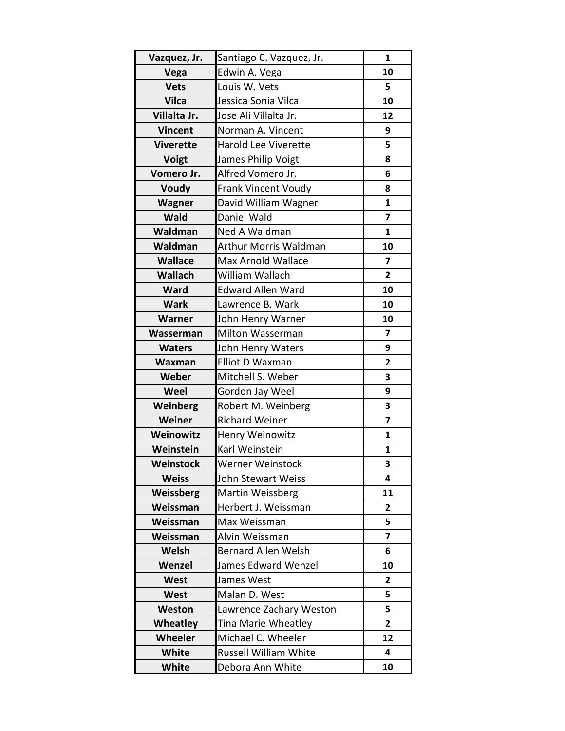| Vazquez, Jr.     | Santiago C. Vazquez, Jr.     | $\mathbf{1}$            |
|------------------|------------------------------|-------------------------|
| Vega             | Edwin A. Vega                | 10                      |
| <b>Vets</b>      | Louis W. Vets                | 5                       |
| <b>Vilca</b>     | Jessica Sonia Vilca          | 10                      |
| Villalta Jr.     | Jose Ali Villalta Jr.        | 12                      |
| <b>Vincent</b>   | Norman A. Vincent            | 9                       |
| <b>Viverette</b> | <b>Harold Lee Viverette</b>  | 5                       |
| Voigt            | James Philip Voigt           | 8                       |
| Vomero Jr.       | Alfred Vomero Jr.            | 6                       |
| Voudy            | <b>Frank Vincent Voudy</b>   | 8                       |
| Wagner           | David William Wagner         | $\mathbf{1}$            |
| <b>Wald</b>      | Daniel Wald                  | $\overline{\mathbf{z}}$ |
| Waldman          | Ned A Waldman                | 1                       |
| Waldman          | <b>Arthur Morris Waldman</b> | 10                      |
| <b>Wallace</b>   | <b>Max Arnold Wallace</b>    | $\overline{\mathbf{z}}$ |
| <b>Wallach</b>   | William Wallach              | $\overline{2}$          |
| <b>Ward</b>      | <b>Edward Allen Ward</b>     | 10                      |
| <b>Wark</b>      | Lawrence B. Wark             | 10                      |
| <b>Warner</b>    | John Henry Warner            | 10                      |
| Wasserman        | Milton Wasserman             | $\overline{\mathbf{z}}$ |
| <b>Waters</b>    | John Henry Waters            | 9                       |
| Waxman           | Elliot D Waxman              | $\overline{2}$          |
| Weber            | Mitchell S. Weber            | 3                       |
| Weel             | Gordon Jay Weel              | 9                       |
| Weinberg         | Robert M. Weinberg           | 3                       |
| Weiner           | <b>Richard Weiner</b>        | $\overline{7}$          |
| Weinowitz        | Henry Weinowitz              | $\mathbf{1}$            |
| Weinstein        | Karl Weinstein               | 1                       |
| Weinstock        | Werner Weinstock             | 3                       |
| <b>Weiss</b>     | John Stewart Weiss           | 4                       |
| Weissberg        | <b>Martin Weissberg</b>      | 11                      |
| Weissman         | Herbert J. Weissman          | $\overline{2}$          |
| Weissman         | Max Weissman                 | 5                       |
| Weissman         | Alvin Weissman               | 7                       |
| Welsh            | <b>Bernard Allen Welsh</b>   | 6                       |
| Wenzel           | James Edward Wenzel          | 10                      |
| <b>West</b>      | James West                   | $\overline{2}$          |
| West             | Malan D. West                | 5                       |
| Weston           | Lawrence Zachary Weston      | 5                       |
| Wheatley         | Tina Marie Wheatley          | $\mathbf{2}$            |
| Wheeler          | Michael C. Wheeler           | 12                      |
| <b>White</b>     | <b>Russell William White</b> | 4                       |
| <b>White</b>     | Debora Ann White             | 10                      |